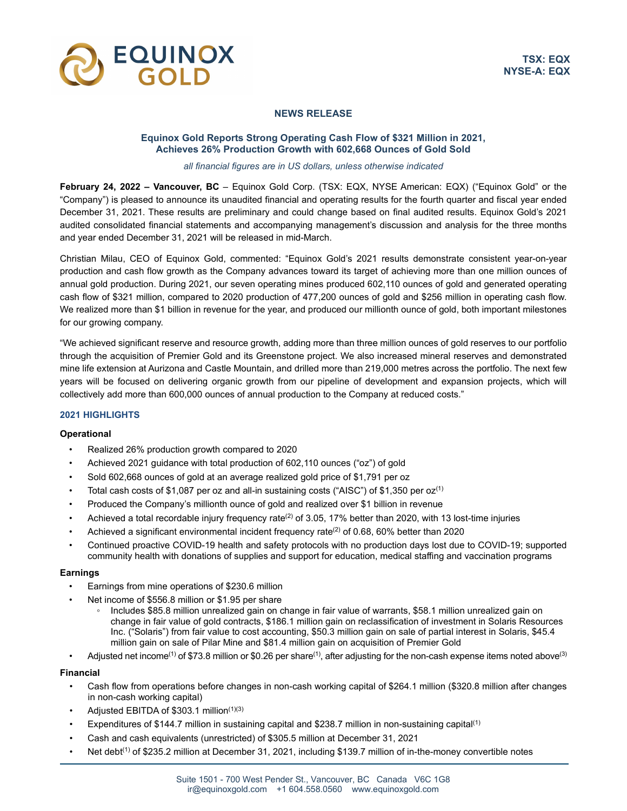

# **NEWS RELEASE**

# **Equinox Gold Reports Strong Operating Cash Flow of \$321 Million in 2021, Achieves 26% Production Growth with 602,668 Ounces of Gold Sold**

#### *all financial figures are in US dollars, unless otherwise indicated*

**February 24, 2022 – Vancouver, BC** – Equinox Gold Corp. (TSX: EQX, NYSE American: EQX) ("Equinox Gold" or the "Company") is pleased to announce its unaudited financial and operating results for the fourth quarter and fiscal year ended December 31, 2021. These results are preliminary and could change based on final audited results. Equinox Gold's 2021 audited consolidated financial statements and accompanying management's discussion and analysis for the three months and year ended December 31, 2021 will be released in mid-March.

Christian Milau, CEO of Equinox Gold, commented: "Equinox Gold's 2021 results demonstrate consistent year-on-year production and cash flow growth as the Company advances toward its target of achieving more than one million ounces of annual gold production. During 2021, our seven operating mines produced 602,110 ounces of gold and generated operating cash flow of \$321 million, compared to 2020 production of 477,200 ounces of gold and \$256 million in operating cash flow. We realized more than \$1 billion in revenue for the year, and produced our millionth ounce of gold, both important milestones for our growing company.

"We achieved significant reserve and resource growth, adding more than three million ounces of gold reserves to our portfolio through the acquisition of Premier Gold and its Greenstone project. We also increased mineral reserves and demonstrated mine life extension at Aurizona and Castle Mountain, and drilled more than 219,000 metres across the portfolio. The next few years will be focused on delivering organic growth from our pipeline of development and expansion projects, which will collectively add more than 600,000 ounces of annual production to the Company at reduced costs."

### **2021 HIGHLIGHTS**

### **Operational**

- Realized 26% production growth compared to 2020
- Achieved 2021 guidance with total production of 602,110 ounces ("oz") of gold
- Sold 602,668 ounces of gold at an average realized gold price of \$1,791 per oz
- Total cash costs of \$1,087 per oz and all-in sustaining costs ("AISC") of \$1,350 per  $oz<sup>(1)</sup>$
- Produced the Company's millionth ounce of gold and realized over \$1 billion in revenue
- Achieved a total recordable injury frequency rate<sup>(2)</sup> of 3.05, 17% better than 2020, with 13 lost-time injuries
- Achieved a significant environmental incident frequency rate(2) of 0.68, 60% better than 2020
- Continued proactive COVID-19 health and safety protocols with no production days lost due to COVID-19; supported community health with donations of supplies and support for education, medical staffing and vaccination programs

### **Earnings**

- Earnings from mine operations of \$230.6 million
- Net income of \$556.8 million or \$1.95 per share
	- Includes \$85.8 million unrealized gain on change in fair value of warrants, \$58.1 million unrealized gain on change in fair value of gold contracts, \$186.1 million gain on reclassification of investment in Solaris Resources Inc. ("Solaris") from fair value to cost accounting, \$50.3 million gain on sale of partial interest in Solaris, \$45.4 million gain on sale of Pilar Mine and \$81.4 million gain on acquisition of Premier Gold
- Adjusted net income<sup>(1)</sup> of \$73.8 million or \$0.26 per share<sup>(1)</sup>, after adjusting for the non-cash expense items noted above<sup>(3)</sup>

### **Financial**

- Cash flow from operations before changes in non-cash working capital of \$264.1 million (\$320.8 million after changes in non-cash working capital)
- Adjusted EBITDA of \$303.1 million(1)(3)
- Expenditures of \$144.7 million in sustaining capital and \$238.7 million in non-sustaining capital(1)
- Cash and cash equivalents (unrestricted) of \$305.5 million at December 31, 2021
- Net debt<sup>(1)</sup> of \$235.2 million at December 31, 2021, including \$139.7 million of in-the-money convertible notes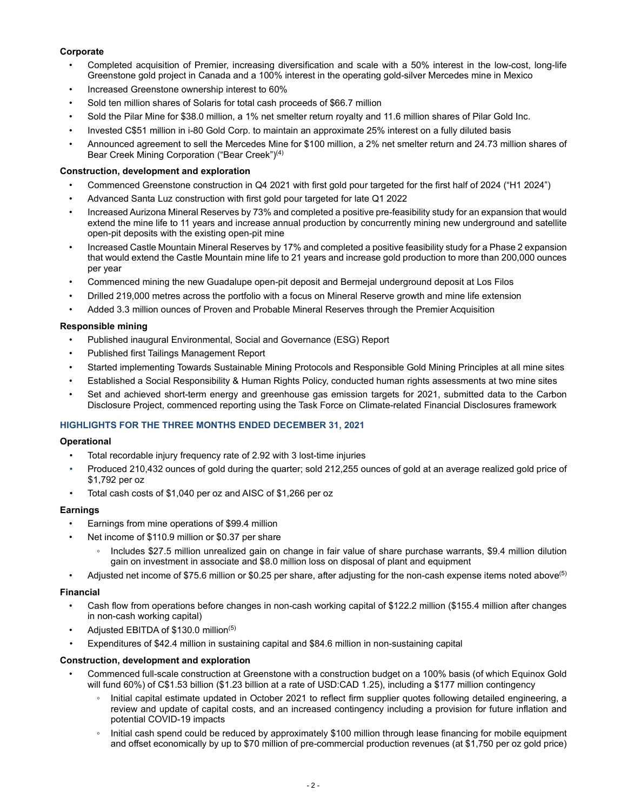# **Corporate**

- Completed acquisition of Premier, increasing diversification and scale with a 50% interest in the low-cost, long-life Greenstone gold project in Canada and a 100% interest in the operating gold-silver Mercedes mine in Mexico
- Increased Greenstone ownership interest to 60%
- Sold ten million shares of Solaris for total cash proceeds of \$66.7 million
- Sold the Pilar Mine for \$38.0 million, a 1% net smelter return royalty and 11.6 million shares of Pilar Gold Inc.
- Invested C\$51 million in i-80 Gold Corp. to maintain an approximate 25% interest on a fully diluted basis
- Announced agreement to sell the Mercedes Mine for \$100 million, a 2% net smelter return and 24.73 million shares of Bear Creek Mining Corporation ("Bear Creek")(4)

#### **Construction, development and exploration**

- Commenced Greenstone construction in Q4 2021 with first gold pour targeted for the first half of 2024 ("H1 2024")
- Advanced Santa Luz construction with first gold pour targeted for late Q1 2022
- Increased Aurizona Mineral Reserves by 73% and completed a positive pre-feasibility study for an expansion that would extend the mine life to 11 years and increase annual production by concurrently mining new underground and satellite open-pit deposits with the existing open-pit mine
- Increased Castle Mountain Mineral Reserves by 17% and completed a positive feasibility study for a Phase 2 expansion that would extend the Castle Mountain mine life to 21 years and increase gold production to more than 200,000 ounces per year
- Commenced mining the new Guadalupe open-pit deposit and Bermejal underground deposit at Los Filos
- Drilled 219,000 metres across the portfolio with a focus on Mineral Reserve growth and mine life extension
- Added 3.3 million ounces of Proven and Probable Mineral Reserves through the Premier Acquisition

#### **Responsible mining**

- Published inaugural Environmental, Social and Governance (ESG) Report
- Published first Tailings Management Report
- Started implementing Towards Sustainable Mining Protocols and Responsible Gold Mining Principles at all mine sites
- Established a Social Responsibility & Human Rights Policy, conducted human rights assessments at two mine sites
- Set and achieved short-term energy and greenhouse gas emission targets for 2021, submitted data to the Carbon Disclosure Project, commenced reporting using the Task Force on Climate-related Financial Disclosures framework

### **HIGHLIGHTS FOR THE THREE MONTHS ENDED DECEMBER 31, 2021**

#### **Operational**

- Total recordable injury frequency rate of 2.92 with 3 lost-time injuries
- Produced 210,432 ounces of gold during the quarter; sold 212,255 ounces of gold at an average realized gold price of \$1,792 per oz
- Total cash costs of \$1,040 per oz and AISC of \$1,266 per oz

#### **Earnings**

- Earnings from mine operations of \$99.4 million
- Net income of \$110.9 million or \$0.37 per share
	- Includes \$27.5 million unrealized gain on change in fair value of share purchase warrants, \$9.4 million dilution gain on investment in associate and \$8.0 million loss on disposal of plant and equipment
- Adjusted net income of \$75.6 million or \$0.25 per share, after adjusting for the non-cash expense items noted above<sup>(5)</sup>

#### **Financial**

- Cash flow from operations before changes in non-cash working capital of \$122.2 million (\$155.4 million after changes in non-cash working capital)
- Adjusted EBITDA of \$130.0 million(5)
- Expenditures of \$42.4 million in sustaining capital and \$84.6 million in non-sustaining capital

#### **Construction, development and exploration**

- Commenced full-scale construction at Greenstone with a construction budget on a 100% basis (of which Equinox Gold will fund 60%) of C\$1.53 billion (\$1.23 billion at a rate of USD:CAD 1.25), including a \$177 million contingency
	- Initial capital estimate updated in October 2021 to reflect firm supplier quotes following detailed engineering, a review and update of capital costs, and an increased contingency including a provision for future inflation and potential COVID-19 impacts
	- Initial cash spend could be reduced by approximately \$100 million through lease financing for mobile equipment and offset economically by up to \$70 million of pre-commercial production revenues (at \$1,750 per oz gold price)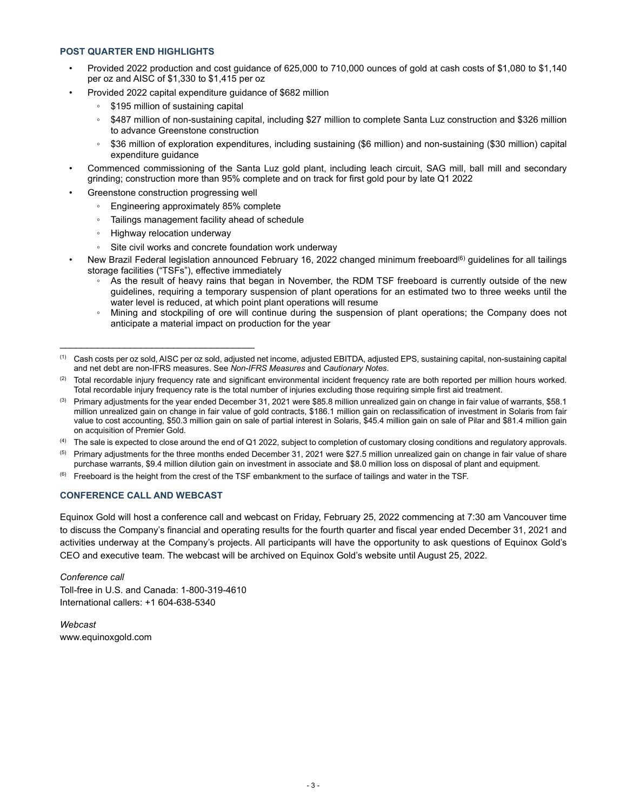### **POST QUARTER END HIGHLIGHTS**

- Provided 2022 production and cost guidance of 625,000 to 710,000 ounces of gold at cash costs of \$1,080 to \$1,140 per oz and AISC of \$1,330 to \$1,415 per oz
- Provided 2022 capital expenditure guidance of \$682 million
	- \$195 million of sustaining capital
	- \$487 million of non-sustaining capital, including \$27 million to complete Santa Luz construction and \$326 million to advance Greenstone construction
	- \$36 million of exploration expenditures, including sustaining (\$6 million) and non-sustaining (\$30 million) capital expenditure guidance
- Commenced commissioning of the Santa Luz gold plant, including leach circuit, SAG mill, ball mill and secondary grinding; construction more than 95% complete and on track for first gold pour by late Q1 2022
- Greenstone construction progressing well
	- Engineering approximately 85% complete
	- Tailings management facility ahead of schedule
	- Highway relocation underway

\_\_\_\_\_\_\_\_\_\_\_\_\_\_\_\_\_\_\_\_\_\_\_\_\_\_\_\_\_\_\_\_\_\_\_\_

- Site civil works and concrete foundation work underway
- New Brazil Federal legislation announced February 16, 2022 changed minimum freeboard<sup>(6)</sup> guidelines for all tailings storage facilities ("TSFs"), effective immediately
	- As the result of heavy rains that began in November, the RDM TSF freeboard is currently outside of the new guidelines, requiring a temporary suspension of plant operations for an estimated two to three weeks until the water level is reduced, at which point plant operations will resume
	- Mining and stockpiling of ore will continue during the suspension of plant operations; the Company does not anticipate a material impact on production for the year

- $(2)$  Total recordable injury frequency rate and significant environmental incident frequency rate are both reported per million hours worked. Total recordable injury frequency rate is the total number of injuries excluding those requiring simple first aid treatment.
- $^{(3)}$  Primary adjustments for the year ended December 31, 2021 were \$85.8 million unrealized gain on change in fair value of warrants, \$58.1 million unrealized gain on change in fair value of gold contracts, \$186.1 million gain on reclassification of investment in Solaris from fair value to cost accounting, \$50.3 million gain on sale of partial interest in Solaris, \$45.4 million gain on sale of Pilar and \$81.4 million gain on acquisition of Premier Gold.
- <sup>(4)</sup> The sale is expected to close around the end of Q1 2022, subject to completion of customary closing conditions and regulatory approvals.
- $<sup>(5)</sup>$  Primary adjustments for the three months ended December 31, 2021 were \$27.5 million unrealized gain on change in fair value of share</sup> purchase warrants, \$9.4 million dilution gain on investment in associate and \$8.0 million loss on disposal of plant and equipment.
- $(6)$  Freeboard is the height from the crest of the TSF embankment to the surface of tailings and water in the TSF.

# **CONFERENCE CALL AND WEBCAST**

Equinox Gold will host a conference call and webcast on Friday, February 25, 2022 commencing at 7:30 am Vancouver time to discuss the Company's financial and operating results for the fourth quarter and fiscal year ended December 31, 2021 and activities underway at the Company's projects. All participants will have the opportunity to ask questions of Equinox Gold's CEO and executive team. The webcast will be archived on Equinox Gold's website until August 25, 2022.

*Conference call* Toll-free in U.S. and Canada: 1-800-319-4610 International callers: +1 604-638-5340

*Webcast* www.equinoxgold.com

<sup>(1)</sup> Cash costs per oz sold, AISC per oz sold, adjusted net income, adjusted EBITDA, adjusted EPS, sustaining capital, non-sustaining capital and net debt are non-IFRS measures. See *Non-IFRS Measures* and *Cautionary Notes*.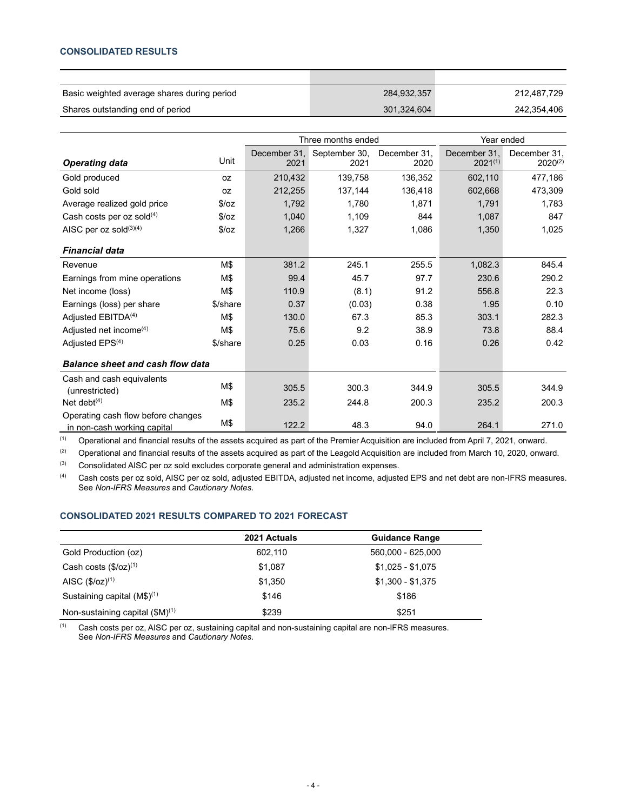# **CONSOLIDATED RESULTS**

| Basic weighted average shares during period | 284,932,357 | 212.487.729 |
|---------------------------------------------|-------------|-------------|
| Shares outstanding end of period            | 301,324,604 | 242,354,406 |

|                                                                   |          | Three months ended   |                       |                      | Year ended                   |                              |
|-------------------------------------------------------------------|----------|----------------------|-----------------------|----------------------|------------------------------|------------------------------|
| <b>Operating data</b>                                             | Unit     | December 31,<br>2021 | September 30,<br>2021 | December 31,<br>2020 | December 31,<br>$2021^{(1)}$ | December 31,<br>$2020^{(2)}$ |
| Gold produced                                                     | 0Z       | 210,432              | 139,758               | 136,352              | 602,110                      | 477,186                      |
| Gold sold                                                         | 0Z       | 212,255              | 137,144               | 136,418              | 602,668                      | 473,309                      |
| Average realized gold price                                       | \$/oz    | 1,792                | 1,780                 | 1,871                | 1,791                        | 1,783                        |
| Cash costs per oz sold $(4)$                                      | \$/oz    | 1,040                | 1,109                 | 844                  | 1,087                        | 847                          |
| AISC per oz sold(3)(4)                                            | \$/oz    | 1,266                | 1,327                 | 1,086                | 1,350                        | 1,025                        |
| <b>Financial data</b>                                             |          |                      |                       |                      |                              |                              |
| Revenue                                                           | M\$      | 381.2                | 245.1                 | 255.5                | 1,082.3                      | 845.4                        |
| Earnings from mine operations                                     | M\$      | 99.4                 | 45.7                  | 97.7                 | 230.6                        | 290.2                        |
| Net income (loss)                                                 | M\$      | 110.9                | (8.1)                 | 91.2                 | 556.8                        | 22.3                         |
| Earnings (loss) per share                                         | \$/share | 0.37                 | (0.03)                | 0.38                 | 1.95                         | 0.10                         |
| Adjusted EBITDA <sup>(4)</sup>                                    | M\$      | 130.0                | 67.3                  | 85.3                 | 303.1                        | 282.3                        |
| Adjusted net income <sup>(4)</sup>                                | M\$      | 75.6                 | 9.2                   | 38.9                 | 73.8                         | 88.4                         |
| Adjusted EPS <sup>(4)</sup>                                       | \$/share | 0.25                 | 0.03                  | 0.16                 | 0.26                         | 0.42                         |
| <b>Balance sheet and cash flow data</b>                           |          |                      |                       |                      |                              |                              |
| Cash and cash equivalents<br>(unrestricted)                       | M\$      | 305.5                | 300.3                 | 344.9                | 305.5                        | 344.9                        |
| Net debt $(4)$                                                    | M\$      | 235.2                | 244.8                 | 200.3                | 235.2                        | 200.3                        |
| Operating cash flow before changes<br>in non-cash working capital | M\$      | 122.2                | 48.3                  | 94.0                 | 264.1                        | 271.0                        |

 $(1)$  Operational and financial results of the assets acquired as part of the Premier Acquisition are included from April 7, 2021, onward.

(2) Operational and financial results of the assets acquired as part of the Leagold Acquisition are included from March 10, 2020, onward. (3) Consolidated AISC per oz sold excludes corporate general and administration expenses.

(4) Cash costs per oz sold, AISC per oz sold, adjusted EBITDA, adjusted net income, adjusted EPS and net debt are non-IFRS measures. See *Non-IFRS Measures* and *Cautionary Notes*.

# **CONSOLIDATED 2021 RESULTS COMPARED TO 2021 FORECAST**

|                                      | 2021 Actuals | <b>Guidance Range</b> |
|--------------------------------------|--------------|-----------------------|
| Gold Production (oz)                 | 602.110      | 560,000 - 625,000     |
| Cash costs $(\frac{6}{2})^{(1)}$     | \$1,087      | $$1,025 - $1,075$     |
| AISC $(\frac{6}{2})^{(1)}$           | \$1,350      | $$1,300 - $1,375$     |
| Sustaining capital $(M$)^{(1)}$      | \$146        | \$186                 |
| Non-sustaining capital $(\$M)^{(1)}$ | \$239        | \$251                 |

 $(1)$  Cash costs per oz, AISC per oz, sustaining capital and non-sustaining capital are non-IFRS measures. See *Non-IFRS Measures* and *Cautionary Notes*.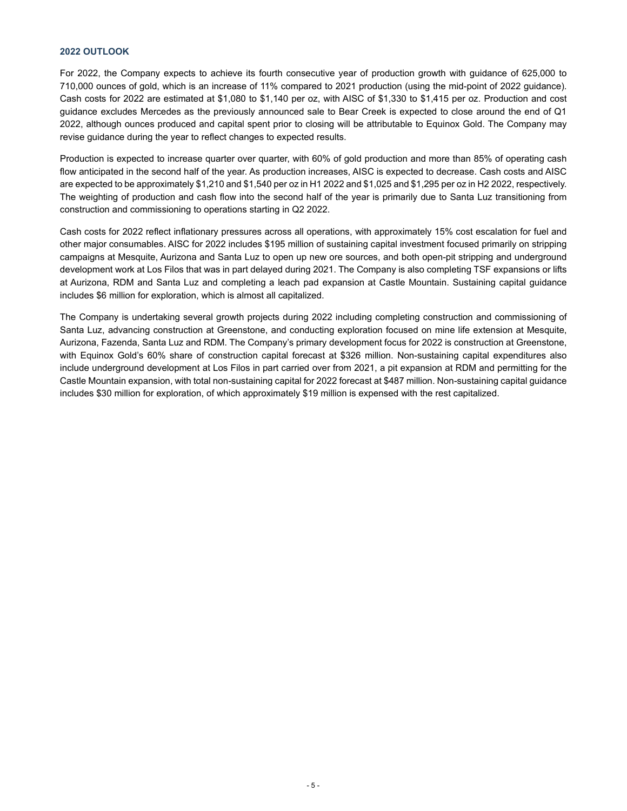#### **2022 OUTLOOK**

For 2022, the Company expects to achieve its fourth consecutive year of production growth with guidance of 625,000 to 710,000 ounces of gold, which is an increase of 11% compared to 2021 production (using the mid-point of 2022 guidance). Cash costs for 2022 are estimated at \$1,080 to \$1,140 per oz, with AISC of \$1,330 to \$1,415 per oz. Production and cost guidance excludes Mercedes as the previously announced sale to Bear Creek is expected to close around the end of Q1 2022, although ounces produced and capital spent prior to closing will be attributable to Equinox Gold. The Company may revise guidance during the year to reflect changes to expected results.

Production is expected to increase quarter over quarter, with 60% of gold production and more than 85% of operating cash flow anticipated in the second half of the year. As production increases, AISC is expected to decrease. Cash costs and AISC are expected to be approximately \$1,210 and \$1,540 per oz in H1 2022 and \$1,025 and \$1,295 per oz in H2 2022, respectively. The weighting of production and cash flow into the second half of the year is primarily due to Santa Luz transitioning from construction and commissioning to operations starting in Q2 2022.

Cash costs for 2022 reflect inflationary pressures across all operations, with approximately 15% cost escalation for fuel and other major consumables. AISC for 2022 includes \$195 million of sustaining capital investment focused primarily on stripping campaigns at Mesquite, Aurizona and Santa Luz to open up new ore sources, and both open-pit stripping and underground development work at Los Filos that was in part delayed during 2021. The Company is also completing TSF expansions or lifts at Aurizona, RDM and Santa Luz and completing a leach pad expansion at Castle Mountain. Sustaining capital guidance includes \$6 million for exploration, which is almost all capitalized.

The Company is undertaking several growth projects during 2022 including completing construction and commissioning of Santa Luz, advancing construction at Greenstone, and conducting exploration focused on mine life extension at Mesquite, Aurizona, Fazenda, Santa Luz and RDM. The Company's primary development focus for 2022 is construction at Greenstone, with Equinox Gold's 60% share of construction capital forecast at \$326 million. Non-sustaining capital expenditures also include underground development at Los Filos in part carried over from 2021, a pit expansion at RDM and permitting for the Castle Mountain expansion, with total non-sustaining capital for 2022 forecast at \$487 million. Non-sustaining capital guidance includes \$30 million for exploration, of which approximately \$19 million is expensed with the rest capitalized.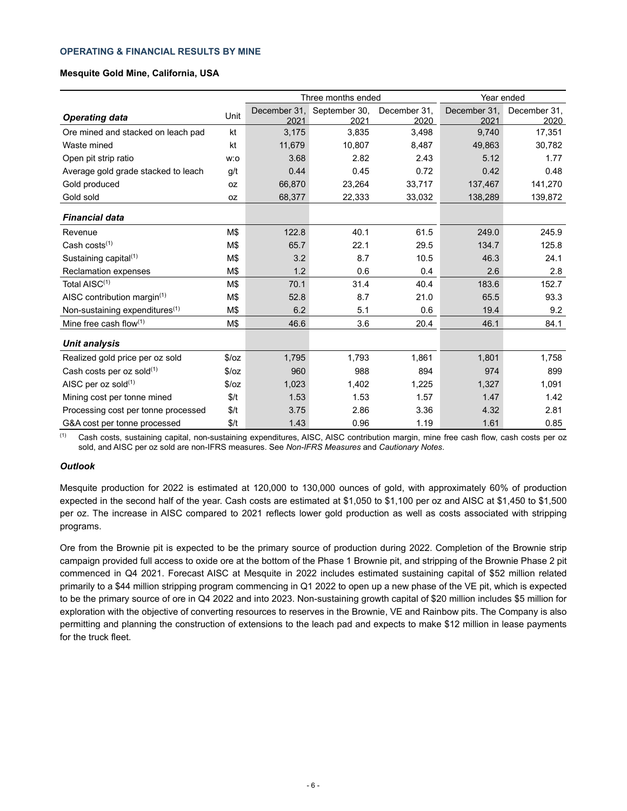#### **OPERATING & FINANCIAL RESULTS BY MINE**

### **Mesquite Gold Mine, California, USA**

|                                            |           | Three months ended |               |              | Year ended   |              |  |
|--------------------------------------------|-----------|--------------------|---------------|--------------|--------------|--------------|--|
|                                            | Unit      | December 31.       | September 30, | December 31. | December 31. | December 31, |  |
| <b>Operating data</b>                      |           | 2021               | 2021          | 2020         | 2021         | 2020         |  |
| Ore mined and stacked on leach pad         | kt        | 3,175              | 3,835         | 3,498        | 9,740        | 17,351       |  |
| Waste mined                                | kt        | 11,679             | 10,807        | 8,487        | 49,863       | 30,782       |  |
| Open pit strip ratio                       | w:o       | 3.68               | 2.82          | 2.43         | 5.12         | 1.77         |  |
| Average gold grade stacked to leach        | g/t       | 0.44               | 0.45          | 0.72         | 0.42         | 0.48         |  |
| Gold produced                              | <b>OZ</b> | 66,870             | 23,264        | 33,717       | 137,467      | 141,270      |  |
| Gold sold                                  | 0Z        | 68,377             | 22,333        | 33,032       | 138,289      | 139,872      |  |
| <b>Financial data</b>                      |           |                    |               |              |              |              |  |
| Revenue                                    | M\$       | 122.8              | 40.1          | 61.5         | 249.0        | 245.9        |  |
| Cash costs $(1)$                           | M\$       | 65.7               | 22.1          | 29.5         | 134.7        | 125.8        |  |
| Sustaining capital <sup>(1)</sup>          | M\$       | 3.2                | 8.7           | 10.5         | 46.3         | 24.1         |  |
| Reclamation expenses                       | M\$       | 1.2                | 0.6           | 0.4          | 2.6          | 2.8          |  |
| Total AISC <sup>(1)</sup>                  | M\$       | 70.1               | 31.4          | 40.4         | 183.6        | 152.7        |  |
| AISC contribution margin $(1)$             | M\$       | 52.8               | 8.7           | 21.0         | 65.5         | 93.3         |  |
| Non-sustaining expenditures <sup>(1)</sup> | M\$       | 6.2                | 5.1           | 0.6          | 19.4         | 9.2          |  |
| Mine free cash flow $(1)$                  | M\$       | 46.6               | 3.6           | 20.4         | 46.1         | 84.1         |  |
| <b>Unit analysis</b>                       |           |                    |               |              |              |              |  |
| Realized gold price per oz sold            | \$/oz     | 1,795              | 1,793         | 1,861        | 1,801        | 1,758        |  |
| Cash costs per oz sold $(1)$               | \$/oz     | 960                | 988           | 894          | 974          | 899          |  |
| AISC per oz sold $(1)$                     | \$/oz     | 1,023              | 1,402         | 1,225        | 1,327        | 1,091        |  |
| Mining cost per tonne mined                | \$/t      | 1.53               | 1.53          | 1.57         | 1.47         | 1.42         |  |
| Processing cost per tonne processed        | \$/t      | 3.75               | 2.86          | 3.36         | 4.32         | 2.81         |  |
| G&A cost per tonne processed               | \$/t      | 1.43               | 0.96          | 1.19         | 1.61         | 0.85         |  |

(1) Cash costs, sustaining capital, non-sustaining expenditures, AISC, AISC contribution margin, mine free cash flow, cash costs per oz sold, and AISC per oz sold are non-IFRS measures. See *Non-IFRS Measures* and *Cautionary Notes*.

#### *Outlook*

Mesquite production for 2022 is estimated at 120,000 to 130,000 ounces of gold, with approximately 60% of production expected in the second half of the year. Cash costs are estimated at \$1,050 to \$1,100 per oz and AISC at \$1,450 to \$1,500 per oz. The increase in AISC compared to 2021 reflects lower gold production as well as costs associated with stripping programs.

Ore from the Brownie pit is expected to be the primary source of production during 2022. Completion of the Brownie strip campaign provided full access to oxide ore at the bottom of the Phase 1 Brownie pit, and stripping of the Brownie Phase 2 pit commenced in Q4 2021. Forecast AISC at Mesquite in 2022 includes estimated sustaining capital of \$52 million related primarily to a \$44 million stripping program commencing in Q1 2022 to open up a new phase of the VE pit, which is expected to be the primary source of ore in Q4 2022 and into 2023. Non-sustaining growth capital of \$20 million includes \$5 million for exploration with the objective of converting resources to reserves in the Brownie, VE and Rainbow pits. The Company is also permitting and planning the construction of extensions to the leach pad and expects to make \$12 million in lease payments for the truck fleet.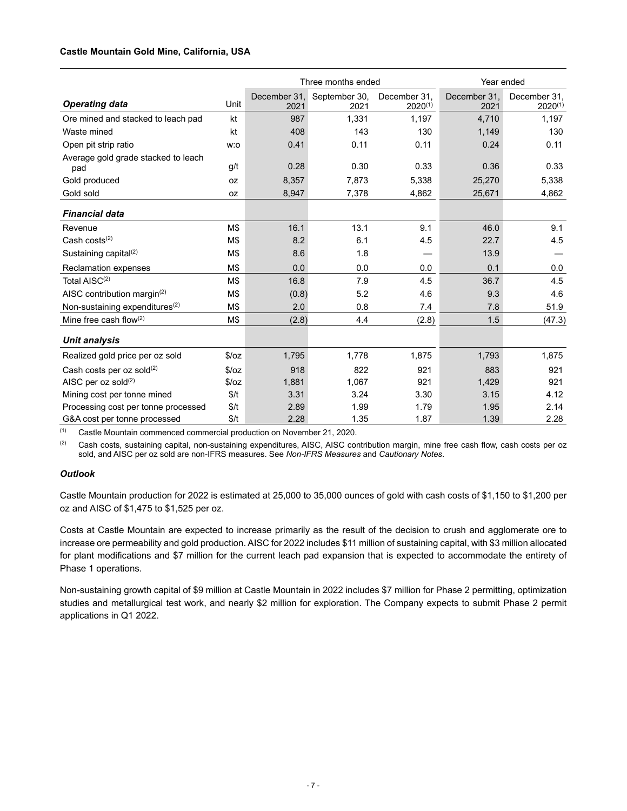# **Castle Mountain Gold Mine, California, USA**

|                                            |       | Three months ended |               |              | Year ended   |              |  |
|--------------------------------------------|-------|--------------------|---------------|--------------|--------------|--------------|--|
|                                            | Unit  | December 31.       | September 30, | December 31, | December 31, | December 31, |  |
| <b>Operating data</b>                      |       | 2021               | 2021          | $2020^{(1)}$ | 2021         | $2020^{(1)}$ |  |
| Ore mined and stacked to leach pad         | kt    | 987                | 1,331         | 1,197        | 4,710        | 1,197        |  |
| Waste mined                                | kt    | 408                | 143           | 130          | 1,149        | 130          |  |
| Open pit strip ratio                       | w:o   | 0.41               | 0.11          | 0.11         | 0.24         | 0.11         |  |
| Average gold grade stacked to leach<br>pad | g/t   | 0.28               | 0.30          | 0.33         | 0.36         | 0.33         |  |
| Gold produced                              | 0Z    | 8,357              | 7,873         | 5,338        | 25,270       | 5,338        |  |
| Gold sold                                  | 0Z    | 8,947              | 7,378         | 4,862        | 25,671       | 4,862        |  |
| <b>Financial data</b>                      |       |                    |               |              |              |              |  |
| Revenue                                    | M\$   | 16.1               | 13.1          | 9.1          | 46.0         | 9.1          |  |
| Cash costs $(2)$                           | M\$   | 8.2                | 6.1           | 4.5          | 22.7         | 4.5          |  |
| Sustaining capital $(2)$                   | M\$   | 8.6                | 1.8           |              | 13.9         |              |  |
| <b>Reclamation expenses</b>                | M\$   | 0.0                | 0.0           | 0.0          | 0.1          | 0.0          |  |
| Total AISC <sup>(2)</sup>                  | M\$   | 16.8               | 7.9           | 4.5          | 36.7         | 4.5          |  |
| AISC contribution margin <sup>(2)</sup>    | M\$   | (0.8)              | 5.2           | 4.6          | 9.3          | 4.6          |  |
| Non-sustaining expenditures <sup>(2)</sup> | M\$   | 2.0                | 0.8           | 7.4          | 7.8          | 51.9         |  |
| Mine free cash flow $(2)$                  | M\$   | (2.8)              | 4.4           | (2.8)        | 1.5          | (47.3)       |  |
| <b>Unit analysis</b>                       |       |                    |               |              |              |              |  |
| Realized gold price per oz sold            | \$/oz | 1,795              | 1,778         | 1,875        | 1,793        | 1,875        |  |
| Cash costs per oz sold $(2)$               | \$/oz | 918                | 822           | 921          | 883          | 921          |  |
| AISC per $oz$ sold $(2)$                   | \$/oz | 1,881              | 1,067         | 921          | 1,429        | 921          |  |
| Mining cost per tonne mined                | \$/t  | 3.31               | 3.24          | 3.30         | 3.15         | 4.12         |  |
| Processing cost per tonne processed        | \$/t  | 2.89               | 1.99          | 1.79         | 1.95         | 2.14         |  |
| G&A cost per tonne processed               | \$/t  | 2.28               | 1.35          | 1.87         | 1.39         | 2.28         |  |

(1) Castle Mountain commenced commercial production on November 21, 2020.

<sup>(2)</sup> Cash costs, sustaining capital, non-sustaining expenditures, AISC, AISC contribution margin, mine free cash flow, cash costs per oz sold, and AISC per oz sold are non-IFRS measures. See *Non-IFRS Measures* and *Cautionary Notes*.

# *Outlook*

Castle Mountain production for 2022 is estimated at 25,000 to 35,000 ounces of gold with cash costs of \$1,150 to \$1,200 per oz and AISC of \$1,475 to \$1,525 per oz.

Costs at Castle Mountain are expected to increase primarily as the result of the decision to crush and agglomerate ore to increase ore permeability and gold production. AISC for 2022 includes \$11 million of sustaining capital, with \$3 million allocated for plant modifications and \$7 million for the current leach pad expansion that is expected to accommodate the entirety of Phase 1 operations.

Non-sustaining growth capital of \$9 million at Castle Mountain in 2022 includes \$7 million for Phase 2 permitting, optimization studies and metallurgical test work, and nearly \$2 million for exploration. The Company expects to submit Phase 2 permit applications in Q1 2022.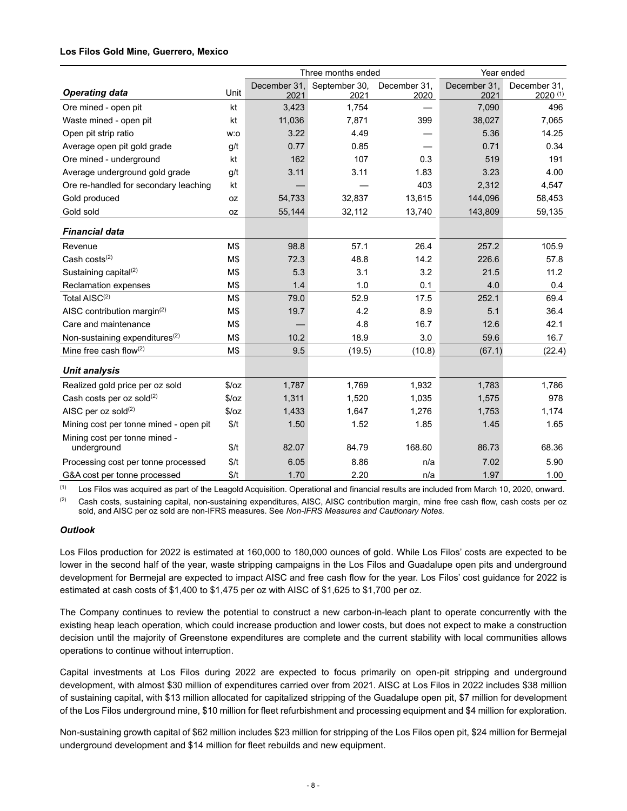### **Los Filos Gold Mine, Guerrero, Mexico**

|                                              |       | Three months ended   |                       |                      | Year ended           |                              |
|----------------------------------------------|-------|----------------------|-----------------------|----------------------|----------------------|------------------------------|
| <b>Operating data</b>                        | Unit  | December 31.<br>2021 | September 30,<br>2021 | December 31,<br>2020 | December 31,<br>2021 | December 31,<br>$2020^{(1)}$ |
| Ore mined - open pit                         | kt    | 3,423                | 1,754                 |                      | 7,090                | 496                          |
| Waste mined - open pit                       | kt    | 11,036               | 7,871                 | 399                  | 38,027               | 7,065                        |
| Open pit strip ratio                         | w:o   | 3.22                 | 4.49                  |                      | 5.36                 | 14.25                        |
| Average open pit gold grade                  | g/t   | 0.77                 | 0.85                  |                      | 0.71                 | 0.34                         |
| Ore mined - underground                      | kt    | 162                  | 107                   | 0.3                  | 519                  | 191                          |
| Average underground gold grade               | g/t   | 3.11                 | 3.11                  | 1.83                 | 3.23                 | 4.00                         |
| Ore re-handled for secondary leaching        | kt    |                      |                       | 403                  | 2,312                | 4,547                        |
| Gold produced                                | 0Z    | 54,733               | 32,837                | 13,615               | 144,096              | 58,453                       |
| Gold sold                                    | oz    | 55,144               | 32,112                | 13,740               | 143,809              | 59,135                       |
| <b>Financial data</b>                        |       |                      |                       |                      |                      |                              |
| Revenue                                      | M\$   | 98.8                 | 57.1                  | 26.4                 | 257.2                | 105.9                        |
| Cash costs $(2)$                             | M\$   | 72.3                 | 48.8                  | 14.2                 | 226.6                | 57.8                         |
| Sustaining capital <sup>(2)</sup>            | M\$   | 5.3                  | 3.1                   | 3.2                  | 21.5                 | 11.2                         |
| <b>Reclamation expenses</b>                  | M\$   | 1.4                  | 1.0                   | 0.1                  | 4.0                  | 0.4                          |
| Total AISC <sup>(2)</sup>                    | M\$   | 79.0                 | 52.9                  | 17.5                 | 252.1                | 69.4                         |
| AISC contribution margin <sup>(2)</sup>      | M\$   | 19.7                 | 4.2                   | 8.9                  | 5.1                  | 36.4                         |
| Care and maintenance                         | M\$   |                      | 4.8                   | 16.7                 | 12.6                 | 42.1                         |
| Non-sustaining expenditures $(2)$            | M\$   | 10.2                 | 18.9                  | 3.0                  | 59.6                 | 16.7                         |
| Mine free cash flow $(2)$                    | M\$   | 9.5                  | (19.5)                | (10.8)               | (67.1)               | (22.4)                       |
| <b>Unit analysis</b>                         |       |                      |                       |                      |                      |                              |
| Realized gold price per oz sold              | \$/oz | 1,787                | 1,769                 | 1,932                | 1,783                | 1,786                        |
| Cash costs per oz sold(2)                    | \$/oz | 1,311                | 1,520                 | 1,035                | 1,575                | 978                          |
| AISC per oz sold(2)                          | \$/oz | 1,433                | 1,647                 | 1,276                | 1,753                | 1,174                        |
| Mining cost per tonne mined - open pit       | \$/t  | 1.50                 | 1.52                  | 1.85                 | 1.45                 | 1.65                         |
| Mining cost per tonne mined -<br>underground | \$/t  | 82.07                | 84.79                 | 168.60               | 86.73                | 68.36                        |
| Processing cost per tonne processed          | \$/t  | 6.05                 | 8.86                  | n/a                  | 7.02                 | 5.90                         |
| G&A cost per tonne processed                 | \$/t  | 1.70                 | 2.20                  | n/a                  | 1.97                 | 1.00                         |

(1) Los Filos was acquired as part of the Leagold Acquisition. Operational and financial results are included from March 10, 2020, onward.

(2) Cash costs, sustaining capital, non-sustaining expenditures, AISC, AISC contribution margin, mine free cash flow, cash costs per oz sold, and AISC per oz sold are non-IFRS measures. See *Non-IFRS Measures and Cautionary Notes.*

### *Outlook*

Los Filos production for 2022 is estimated at 160,000 to 180,000 ounces of gold. While Los Filos' costs are expected to be lower in the second half of the year, waste stripping campaigns in the Los Filos and Guadalupe open pits and underground development for Bermejal are expected to impact AISC and free cash flow for the year. Los Filos' cost guidance for 2022 is estimated at cash costs of \$1,400 to \$1,475 per oz with AISC of \$1,625 to \$1,700 per oz.

The Company continues to review the potential to construct a new carbon-in-leach plant to operate concurrently with the existing heap leach operation, which could increase production and lower costs, but does not expect to make a construction decision until the majority of Greenstone expenditures are complete and the current stability with local communities allows operations to continue without interruption.

Capital investments at Los Filos during 2022 are expected to focus primarily on open-pit stripping and underground development, with almost \$30 million of expenditures carried over from 2021. AISC at Los Filos in 2022 includes \$38 million of sustaining capital, with \$13 million allocated for capitalized stripping of the Guadalupe open pit, \$7 million for development of the Los Filos underground mine, \$10 million for fleet refurbishment and processing equipment and \$4 million for exploration.

Non-sustaining growth capital of \$62 million includes \$23 million for stripping of the Los Filos open pit, \$24 million for Bermejal underground development and \$14 million for fleet rebuilds and new equipment.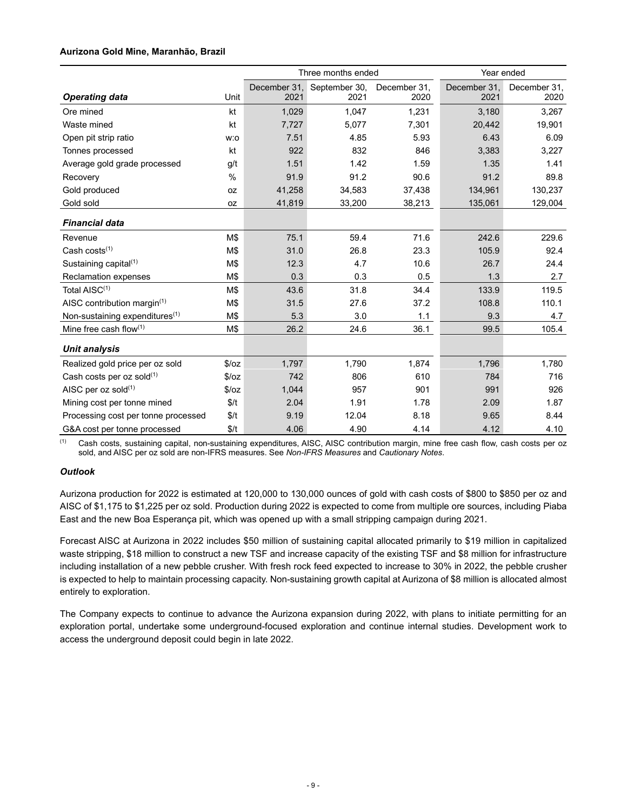# **Aurizona Gold Mine, Maranhão, Brazil**

|                                     |               | Three months ended |               |              | Year ended   |              |  |
|-------------------------------------|---------------|--------------------|---------------|--------------|--------------|--------------|--|
|                                     |               | December 31,       | September 30, | December 31, | December 31, | December 31, |  |
| <b>Operating data</b>               | Unit          | 2021               | 2021          | 2020         | 2021         | 2020         |  |
| Ore mined                           | kt            | 1,029              | 1,047         | 1,231        | 3,180        | 3,267        |  |
| Waste mined                         | kt            | 7,727              | 5,077         | 7,301        | 20,442       | 19,901       |  |
| Open pit strip ratio                | w:o           | 7.51               | 4.85          | 5.93         | 6.43         | 6.09         |  |
| Tonnes processed                    | kt            | 922                | 832           | 846          | 3,383        | 3,227        |  |
| Average gold grade processed        | g/t           | 1.51               | 1.42          | 1.59         | 1.35         | 1.41         |  |
| Recovery                            | $\frac{0}{0}$ | 91.9               | 91.2          | 90.6         | 91.2         | 89.8         |  |
| Gold produced                       | 0Z            | 41,258             | 34,583        | 37,438       | 134,961      | 130,237      |  |
| Gold sold                           | 0Z            | 41,819             | 33,200        | 38,213       | 135,061      | 129,004      |  |
| <b>Financial data</b>               |               |                    |               |              |              |              |  |
| Revenue                             | M\$           | 75.1               | 59.4          | 71.6         | 242.6        | 229.6        |  |
| Cash $costs^{(1)}$                  | M\$           | 31.0               | 26.8          | 23.3         | 105.9        | 92.4         |  |
| Sustaining capital <sup>(1)</sup>   | M\$           | 12.3               | 4.7           | 10.6         | 26.7         | 24.4         |  |
| Reclamation expenses                | M\$           | 0.3                | 0.3           | 0.5          | 1.3          | 2.7          |  |
| Total AISC <sup>(1)</sup>           | M\$           | 43.6               | 31.8          | 34.4         | 133.9        | 119.5        |  |
| AISC contribution margin(1)         | M\$           | 31.5               | 27.6          | 37.2         | 108.8        | 110.1        |  |
| Non-sustaining expenditures(1)      | M\$           | 5.3                | 3.0           | 1.1          | 9.3          | 4.7          |  |
| Mine free cash flow $(1)$           | M\$           | 26.2               | 24.6          | 36.1         | 99.5         | 105.4        |  |
| <b>Unit analysis</b>                |               |                    |               |              |              |              |  |
| Realized gold price per oz sold     | \$/oz         | 1,797              | 1,790         | 1,874        | 1,796        | 1,780        |  |
| Cash costs per oz sold $(1)$        | \$/oz         | 742                | 806           | 610          | 784          | 716          |  |
| AISC per $oz$ sold $(1)$            | \$/oz         | 1,044              | 957           | 901          | 991          | 926          |  |
| Mining cost per tonne mined         | \$/t          | 2.04               | 1.91          | 1.78         | 2.09         | 1.87         |  |
| Processing cost per tonne processed | \$/t          | 9.19               | 12.04         | 8.18         | 9.65         | 8.44         |  |
| G&A cost per tonne processed        | \$/t          | 4.06               | 4.90          | 4.14         | 4.12         | 4.10         |  |

(1) Cash costs, sustaining capital, non-sustaining expenditures, AISC, AISC contribution margin, mine free cash flow, cash costs per oz sold, and AISC per oz sold are non-IFRS measures. See *Non-IFRS Measures* and *Cautionary Notes*.

# *Outlook*

Aurizona production for 2022 is estimated at 120,000 to 130,000 ounces of gold with cash costs of \$800 to \$850 per oz and AISC of \$1,175 to \$1,225 per oz sold. Production during 2022 is expected to come from multiple ore sources, including Piaba East and the new Boa Esperança pit, which was opened up with a small stripping campaign during 2021.

Forecast AISC at Aurizona in 2022 includes \$50 million of sustaining capital allocated primarily to \$19 million in capitalized waste stripping, \$18 million to construct a new TSF and increase capacity of the existing TSF and \$8 million for infrastructure including installation of a new pebble crusher. With fresh rock feed expected to increase to 30% in 2022, the pebble crusher is expected to help to maintain processing capacity. Non-sustaining growth capital at Aurizona of \$8 million is allocated almost entirely to exploration.

The Company expects to continue to advance the Aurizona expansion during 2022, with plans to initiate permitting for an exploration portal, undertake some underground-focused exploration and continue internal studies. Development work to access the underground deposit could begin in late 2022.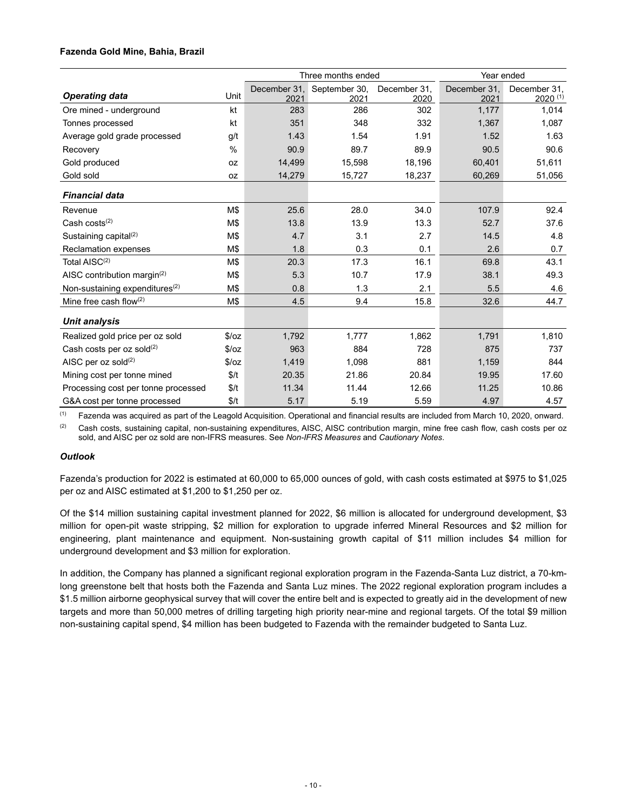# **Fazenda Gold Mine, Bahia, Brazil**

|                                            |               | Three months ended   |                       |                      | Year ended           |                              |
|--------------------------------------------|---------------|----------------------|-----------------------|----------------------|----------------------|------------------------------|
| <b>Operating data</b>                      | Unit          | December 31.<br>2021 | September 30,<br>2021 | December 31,<br>2020 | December 31,<br>2021 | December 31.<br>$2020^{(1)}$ |
| Ore mined - underground                    | kt            | 283                  | 286                   | 302                  | 1,177                | 1,014                        |
| Tonnes processed                           | kt            | 351                  | 348                   | 332                  | 1,367                | 1,087                        |
| Average gold grade processed               | g/t           | 1.43                 | 1.54                  | 1.91                 | 1.52                 | 1.63                         |
| Recovery                                   | $\frac{0}{0}$ | 90.9                 | 89.7                  | 89.9                 | 90.5                 | 90.6                         |
| Gold produced                              | 0Z            | 14,499               | 15,598                | 18,196               | 60,401               | 51,611                       |
| Gold sold                                  | 0Z            | 14,279               | 15,727                | 18,237               | 60,269               | 51,056                       |
| <b>Financial data</b>                      |               |                      |                       |                      |                      |                              |
| Revenue                                    | M\$           | 25.6                 | 28.0                  | 34.0                 | 107.9                | 92.4                         |
| Cash $costs^{(2)}$                         | M\$           | 13.8                 | 13.9                  | 13.3                 | 52.7                 | 37.6                         |
| Sustaining capital $(2)$                   | M\$           | 4.7                  | 3.1                   | 2.7                  | 14.5                 | 4.8                          |
| <b>Reclamation expenses</b>                | M\$           | 1.8                  | 0.3                   | 0.1                  | 2.6                  | 0.7                          |
| Total AISC <sup>(2)</sup>                  | M\$           | 20.3                 | 17.3                  | 16.1                 | 69.8                 | 43.1                         |
| AISC contribution margin(2)                | M\$           | 5.3                  | 10.7                  | 17.9                 | 38.1                 | 49.3                         |
| Non-sustaining expenditures <sup>(2)</sup> | M\$           | 0.8                  | 1.3                   | 2.1                  | 5.5                  | 4.6                          |
| Mine free cash flow $(2)$                  | M\$           | 4.5                  | 9.4                   | 15.8                 | 32.6                 | 44.7                         |
| <b>Unit analysis</b>                       |               |                      |                       |                      |                      |                              |
| Realized gold price per oz sold            | \$/oz         | 1,792                | 1,777                 | 1,862                | 1,791                | 1,810                        |
| Cash costs per oz sold $(2)$               | \$/oz         | 963                  | 884                   | 728                  | 875                  | 737                          |
| AISC per $oz$ sold $(2)$                   | \$/oz         | 1,419                | 1,098                 | 881                  | 1,159                | 844                          |
| Mining cost per tonne mined                | \$/t          | 20.35                | 21.86                 | 20.84                | 19.95                | 17.60                        |
| Processing cost per tonne processed        | \$/t          | 11.34                | 11.44                 | 12.66                | 11.25                | 10.86                        |
| G&A cost per tonne processed               | \$/t          | 5.17                 | 5.19                  | 5.59                 | 4.97                 | 4.57                         |

 $<sup>(1)</sup>$  Fazenda was acquired as part of the Leagold Acquisition. Operational and financial results are included from March 10, 2020, onward.</sup>

 $(2)$  Cash costs, sustaining capital, non-sustaining expenditures, AISC, AISC contribution margin, mine free cash flow, cash costs per oz sold, and AISC per oz sold are non-IFRS measures. See *Non-IFRS Measures* and *Cautionary Notes*.

### *Outlook*

Fazenda's production for 2022 is estimated at 60,000 to 65,000 ounces of gold, with cash costs estimated at \$975 to \$1,025 per oz and AISC estimated at \$1,200 to \$1,250 per oz.

Of the \$14 million sustaining capital investment planned for 2022, \$6 million is allocated for underground development, \$3 million for open-pit waste stripping, \$2 million for exploration to upgrade inferred Mineral Resources and \$2 million for engineering, plant maintenance and equipment. Non-sustaining growth capital of \$11 million includes \$4 million for underground development and \$3 million for exploration.

In addition, the Company has planned a significant regional exploration program in the Fazenda-Santa Luz district, a 70-kmlong greenstone belt that hosts both the Fazenda and Santa Luz mines. The 2022 regional exploration program includes a \$1.5 million airborne geophysical survey that will cover the entire belt and is expected to greatly aid in the development of new targets and more than 50,000 metres of drilling targeting high priority near-mine and regional targets. Of the total \$9 million non-sustaining capital spend, \$4 million has been budgeted to Fazenda with the remainder budgeted to Santa Luz.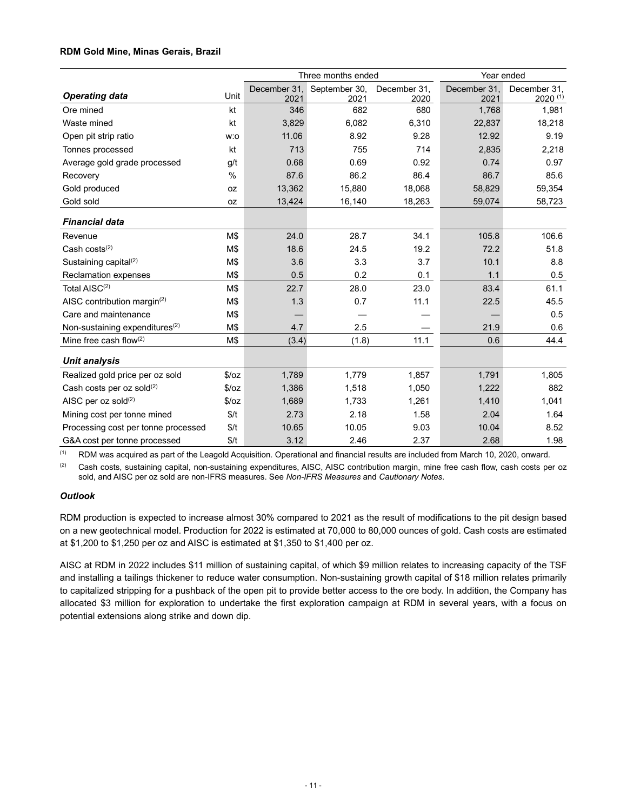# **RDM Gold Mine, Minas Gerais, Brazil**

|                                            |               |              | Three months ended |              | Year ended   |              |
|--------------------------------------------|---------------|--------------|--------------------|--------------|--------------|--------------|
| <b>Operating data</b>                      | Unit          | December 31, | September 30,      | December 31. | December 31, | December 31, |
|                                            |               | 2021         | 2021               | 2020         | 2021         | $2020^{(1)}$ |
| Ore mined                                  | kt            | 346          | 682                | 680          | 1,768        | 1,981        |
| Waste mined                                | kt            | 3,829        | 6,082              | 6,310        | 22,837       | 18,218       |
| Open pit strip ratio                       | w:o           | 11.06        | 8.92               | 9.28         | 12.92        | 9.19         |
| Tonnes processed                           | kt            | 713          | 755                | 714          | 2,835        | 2,218        |
| Average gold grade processed               | q/t           | 0.68         | 0.69               | 0.92         | 0.74         | 0.97         |
| Recovery                                   | $\frac{0}{0}$ | 87.6         | 86.2               | 86.4         | 86.7         | 85.6         |
| Gold produced                              | 0Z            | 13,362       | 15,880             | 18,068       | 58,829       | 59,354       |
| Gold sold                                  | 0Z            | 13,424       | 16,140             | 18,263       | 59,074       | 58,723       |
| <b>Financial data</b>                      |               |              |                    |              |              |              |
| Revenue                                    | M\$           | 24.0         | 28.7               | 34.1         | 105.8        | 106.6        |
| Cash $costs^{(2)}$                         | M\$           | 18.6         | 24.5               | 19.2         | 72.2         | 51.8         |
| Sustaining capital <sup>(2)</sup>          | M\$           | 3.6          | 3.3                | 3.7          | 10.1         | 8.8          |
| Reclamation expenses                       | M\$           | 0.5          | 0.2                | 0.1          | 1.1          | 0.5          |
| Total AISC <sup>(2)</sup>                  | M\$           | 22.7         | 28.0               | 23.0         | 83.4         | 61.1         |
| AISC contribution margin <sup>(2)</sup>    | M\$           | 1.3          | 0.7                | 11.1         | 22.5         | 45.5         |
| Care and maintenance                       | M\$           |              |                    |              |              | 0.5          |
| Non-sustaining expenditures <sup>(2)</sup> | M\$           | 4.7          | 2.5                |              | 21.9         | 0.6          |
| Mine free cash flow $(2)$                  | M\$           | (3.4)        | (1.8)              | 11.1         | 0.6          | 44.4         |
| <b>Unit analysis</b>                       |               |              |                    |              |              |              |
| Realized gold price per oz sold            | \$/oz         | 1,789        | 1,779              | 1,857        | 1,791        | 1,805        |
| Cash costs per oz sold $(2)$               | \$/oz         | 1,386        | 1,518              | 1,050        | 1,222        | 882          |
| AISC per $oz$ sold $(2)$                   | \$/oz         | 1,689        | 1,733              | 1,261        | 1,410        | 1,041        |
| Mining cost per tonne mined                | \$/t          | 2.73         | 2.18               | 1.58         | 2.04         | 1.64         |
| Processing cost per tonne processed        | \$/t          | 10.65        | 10.05              | 9.03         | 10.04        | 8.52         |
| G&A cost per tonne processed               | \$/t          | 3.12         | 2.46               | 2.37         | 2.68         | 1.98         |

(1) RDM was acquired as part of the Leagold Acquisition. Operational and financial results are included from March 10, 2020, onward.

<sup>(2)</sup> Cash costs, sustaining capital, non-sustaining expenditures, AISC, AISC contribution margin, mine free cash flow, cash costs per oz sold, and AISC per oz sold are non-IFRS measures. See *Non-IFRS Measures* and *Cautionary Notes*.

# *Outlook*

RDM production is expected to increase almost 30% compared to 2021 as the result of modifications to the pit design based on a new geotechnical model. Production for 2022 is estimated at 70,000 to 80,000 ounces of gold. Cash costs are estimated at \$1,200 to \$1,250 per oz and AISC is estimated at \$1,350 to \$1,400 per oz.

AISC at RDM in 2022 includes \$11 million of sustaining capital, of which \$9 million relates to increasing capacity of the TSF and installing a tailings thickener to reduce water consumption. Non-sustaining growth capital of \$18 million relates primarily to capitalized stripping for a pushback of the open pit to provide better access to the ore body. In addition, the Company has allocated \$3 million for exploration to undertake the first exploration campaign at RDM in several years, with a focus on potential extensions along strike and down dip.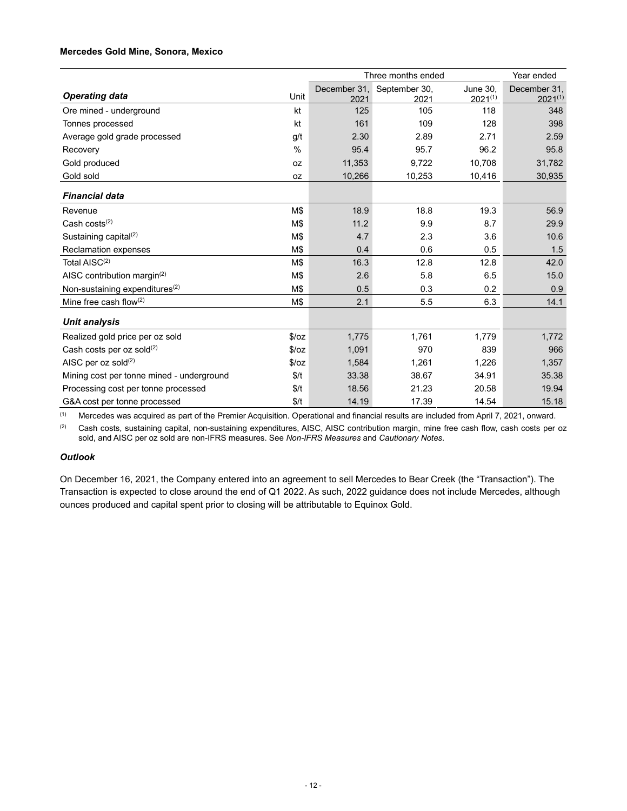# **Mercedes Gold Mine, Sonora, Mexico**

|                                            | Three months ended |              |               |                 | Year ended   |
|--------------------------------------------|--------------------|--------------|---------------|-----------------|--------------|
|                                            | Unit               | December 31, | September 30, | <b>June 30.</b> | December 31, |
| <b>Operating data</b>                      |                    | 2021         | 2021          | $2021^{(1)}$    | $2021^{(1)}$ |
| Ore mined - underground                    | kt                 | 125          | 105           | 118             | 348          |
| Tonnes processed                           | kt                 | 161          | 109           | 128             | 398          |
| Average gold grade processed               | g/t                | 2.30         | 2.89          | 2.71            | 2.59         |
| Recovery                                   | $\%$               | 95.4         | 95.7          | 96.2            | 95.8         |
| Gold produced                              | 0Z                 | 11,353       | 9,722         | 10,708          | 31,782       |
| Gold sold                                  | 0Z                 | 10,266       | 10,253        | 10,416          | 30,935       |
| <b>Financial data</b>                      |                    |              |               |                 |              |
| Revenue                                    | M\$                | 18.9         | 18.8          | 19.3            | 56.9         |
| Cash $costs^{(2)}$                         | M\$                | 11.2         | 9.9           | 8.7             | 29.9         |
| Sustaining capital $(2)$                   | M\$                | 4.7          | 2.3           | 3.6             | 10.6         |
| <b>Reclamation expenses</b>                | M\$                | 0.4          | 0.6           | 0.5             | 1.5          |
| Total AISC <sup>(2)</sup>                  | M\$                | 16.3         | 12.8          | 12.8            | 42.0         |
| AISC contribution margin( $2$ )            | M\$                | 2.6          | 5.8           | 6.5             | 15.0         |
| Non-sustaining expenditures <sup>(2)</sup> | M\$                | 0.5          | 0.3           | 0.2             | 0.9          |
| Mine free cash flow $(2)$                  | M\$                | 2.1          | 5.5           | 6.3             | 14.1         |
| <b>Unit analysis</b>                       |                    |              |               |                 |              |
| Realized gold price per oz sold            | \$/oz              | 1,775        | 1,761         | 1,779           | 1,772        |
| Cash costs per oz sold(2)                  | \$/oz              | 1,091        | 970           | 839             | 966          |
| AISC per oz sold $(2)$                     | \$/oz              | 1,584        | 1,261         | 1,226           | 1,357        |
| Mining cost per tonne mined - underground  | \$/t               | 33.38        | 38.67         | 34.91           | 35.38        |
| Processing cost per tonne processed        | \$/t               | 18.56        | 21.23         | 20.58           | 19.94        |
| G&A cost per tonne processed               | \$/t               | 14.19        | 17.39         | 14.54           | 15.18        |

(1) Mercedes was acquired as part of the Premier Acquisition. Operational and financial results are included from April 7, 2021, onward.

<sup>(2)</sup> Cash costs, sustaining capital, non-sustaining expenditures, AISC, AISC contribution margin, mine free cash flow, cash costs per oz sold, and AISC per oz sold are non-IFRS measures. See *Non-IFRS Measures* and *Cautionary Notes*.

### *Outlook*

On December 16, 2021, the Company entered into an agreement to sell Mercedes to Bear Creek (the "Transaction"). The Transaction is expected to close around the end of Q1 2022. As such, 2022 guidance does not include Mercedes, although ounces produced and capital spent prior to closing will be attributable to Equinox Gold.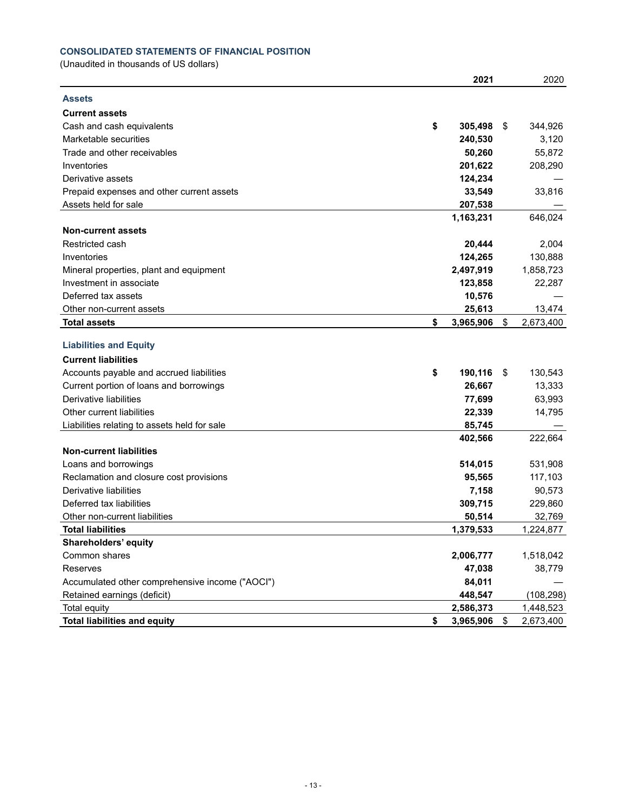# **CONSOLIDATED STATEMENTS OF FINANCIAL POSITION**

(Unaudited in thousands of US dollars)

|                                                                   | 2021            | 2020            |
|-------------------------------------------------------------------|-----------------|-----------------|
| <b>Assets</b>                                                     |                 |                 |
| <b>Current assets</b>                                             |                 |                 |
| Cash and cash equivalents                                         | \$<br>305,498   | \$<br>344,926   |
| Marketable securities                                             | 240,530         | 3,120           |
| Trade and other receivables                                       | 50,260          | 55,872          |
| Inventories                                                       | 201,622         | 208,290         |
| Derivative assets                                                 | 124,234         |                 |
| Prepaid expenses and other current assets                         | 33,549          | 33,816          |
| Assets held for sale                                              | 207,538         |                 |
|                                                                   | 1,163,231       | 646,024         |
| <b>Non-current assets</b>                                         |                 |                 |
| Restricted cash                                                   | 20,444          | 2,004           |
| Inventories                                                       | 124,265         | 130,888         |
| Mineral properties, plant and equipment                           | 2,497,919       | 1,858,723       |
| Investment in associate                                           | 123,858         | 22,287          |
| Deferred tax assets                                               | 10,576          |                 |
| Other non-current assets                                          | 25,613          | 13,474          |
| <b>Total assets</b>                                               | \$<br>3,965,906 | \$<br>2,673,400 |
|                                                                   |                 |                 |
| <b>Liabilities and Equity</b>                                     |                 |                 |
| <b>Current liabilities</b>                                        |                 |                 |
| Accounts payable and accrued liabilities                          | \$<br>190,116   | \$<br>130,543   |
| Current portion of loans and borrowings<br>Derivative liabilities | 26,667          | 13,333          |
|                                                                   | 77,699          | 63,993          |
| Other current liabilities                                         | 22,339          | 14,795          |
| Liabilities relating to assets held for sale                      | 85,745          |                 |
| <b>Non-current liabilities</b>                                    | 402,566         | 222,664         |
| Loans and borrowings                                              | 514,015         | 531,908         |
| Reclamation and closure cost provisions                           | 95,565          | 117,103         |
| Derivative liabilities                                            | 7,158           | 90,573          |
| Deferred tax liabilities                                          | 309,715         | 229,860         |
| Other non-current liabilities                                     | 50,514          | 32,769          |
| <b>Total liabilities</b>                                          | 1,379,533       | 1,224,877       |
| Shareholders' equity                                              |                 |                 |
| Common shares                                                     | 2,006,777       | 1,518,042       |
| Reserves                                                          | 47,038          | 38,779          |
| Accumulated other comprehensive income ("AOCI")                   | 84,011          |                 |
| Retained earnings (deficit)                                       | 448,547         | (108, 298)      |
| Total equity                                                      | 2,586,373       | 1,448,523       |
| <b>Total liabilities and equity</b>                               | \$<br>3,965,906 | \$<br>2,673,400 |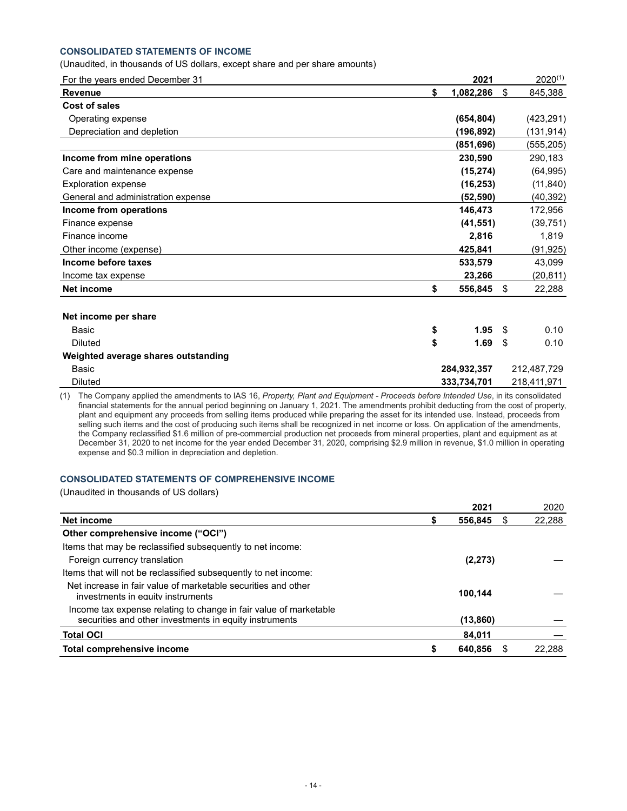# **CONSOLIDATED STATEMENTS OF INCOME**

#### (Unaudited, in thousands of US dollars, except share and per share amounts)

| For the years ended December 31     | 2021            | $2020^{(1)}$  |
|-------------------------------------|-----------------|---------------|
| <b>Revenue</b>                      | \$<br>1,082,286 | \$<br>845,388 |
| Cost of sales                       |                 |               |
| Operating expense                   | (654, 804)      | (423, 291)    |
| Depreciation and depletion          | (196, 892)      | (131, 914)    |
|                                     | (851, 696)      | (555,205)     |
| Income from mine operations         | 230,590         | 290,183       |
| Care and maintenance expense        | (15, 274)       | (64, 995)     |
| <b>Exploration expense</b>          | (16, 253)       | (11, 840)     |
| General and administration expense  | (52, 590)       | (40, 392)     |
| Income from operations              | 146,473         | 172,956       |
| Finance expense                     | (41, 551)       | (39, 751)     |
| Finance income                      | 2,816           | 1,819         |
| Other income (expense)              | 425,841         | (91, 925)     |
| Income before taxes                 | 533,579         | 43,099        |
| Income tax expense                  | 23,266          | (20, 811)     |
| <b>Net income</b>                   | \$<br>556,845   | \$<br>22,288  |
| Net income per share                |                 |               |
| <b>Basic</b>                        | \$<br>1.95      | \$<br>0.10    |
| <b>Diluted</b>                      | \$<br>1.69      | \$<br>0.10    |
| Weighted average shares outstanding |                 |               |
| Basic                               | 284,932,357     | 212,487,729   |
| <b>Diluted</b>                      | 333,734,701     | 218,411,971   |

(1) The Company applied the amendments to IAS 16, *Property, Plant and Equipment - Proceeds before Intended Use*, in its consolidated financial statements for the annual period beginning on January 1, 2021. The amendments prohibit deducting from the cost of property, plant and equipment any proceeds from selling items produced while preparing the asset for its intended use. Instead, proceeds from selling such items and the cost of producing such items shall be recognized in net income or loss. On application of the amendments, the Company reclassified \$1.6 million of pre-commercial production net proceeds from mineral properties, plant and equipment as at December 31, 2020 to net income for the year ended December 31, 2020, comprising \$2.9 million in revenue, \$1.0 million in operating expense and \$0.3 million in depreciation and depletion.

# **CONSOLIDATED STATEMENTS OF COMPREHENSIVE INCOME**

(Unaudited in thousands of US dollars)

|                                                                                                                             | 2021      |   | 2020   |
|-----------------------------------------------------------------------------------------------------------------------------|-----------|---|--------|
| Net income                                                                                                                  | 556,845   | S | 22,288 |
| Other comprehensive income ("OCI")                                                                                          |           |   |        |
| Items that may be reclassified subsequently to net income:                                                                  |           |   |        |
| Foreign currency translation                                                                                                | (2, 273)  |   |        |
| Items that will not be reclassified subsequently to net income:                                                             |           |   |        |
| Net increase in fair value of marketable securities and other<br>investments in equity instruments                          | 100,144   |   |        |
| Income tax expense relating to change in fair value of marketable<br>securities and other investments in equity instruments | (13, 860) |   |        |
| <b>Total OCI</b>                                                                                                            | 84,011    |   |        |
| Total comprehensive income                                                                                                  | 640,856   |   | 22.288 |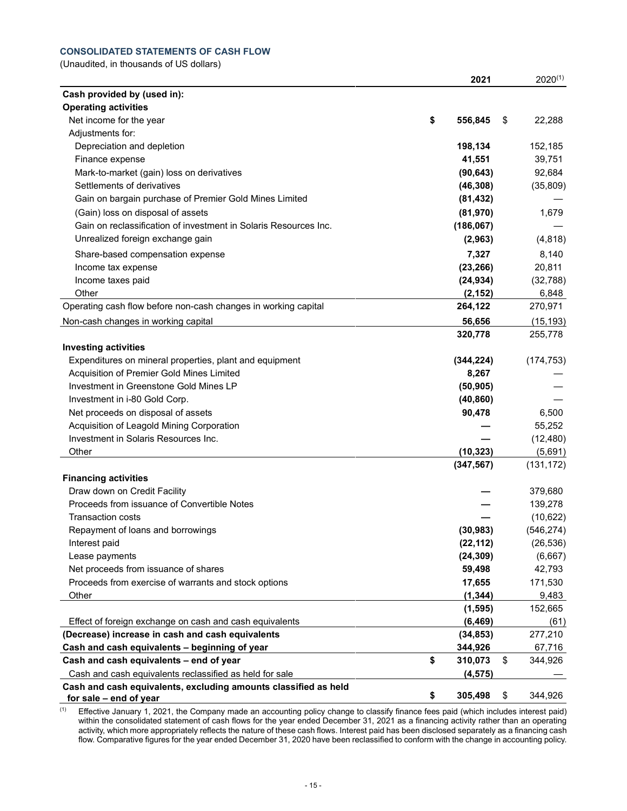# **CONSOLIDATED STATEMENTS OF CASH FLOW**

(Unaudited, in thousands of US dollars)

|                                                                                           | 2021                   | $2020^{(1)}$         |
|-------------------------------------------------------------------------------------------|------------------------|----------------------|
| Cash provided by (used in):                                                               |                        |                      |
| <b>Operating activities</b>                                                               |                        |                      |
| Net income for the year                                                                   | \$<br>556,845          | \$<br>22,288         |
| Adjustments for:                                                                          |                        |                      |
| Depreciation and depletion                                                                | 198,134                | 152,185              |
| Finance expense                                                                           | 41,551                 | 39,751               |
| Mark-to-market (gain) loss on derivatives                                                 | (90, 643)              | 92,684               |
| Settlements of derivatives                                                                | (46, 308)              | (35, 809)            |
| Gain on bargain purchase of Premier Gold Mines Limited                                    | (81, 432)              |                      |
| (Gain) loss on disposal of assets                                                         | (81, 970)              | 1,679                |
| Gain on reclassification of investment in Solaris Resources Inc.                          | (186, 067)             |                      |
| Unrealized foreign exchange gain                                                          | (2,963)                | (4, 818)             |
| Share-based compensation expense                                                          | 7,327                  | 8,140                |
| Income tax expense                                                                        | (23, 266)              | 20,811               |
| Income taxes paid                                                                         | (24, 934)              | (32,788)             |
| Other                                                                                     | (2, 152)               | 6,848                |
| Operating cash flow before non-cash changes in working capital                            | 264,122                | 270,971              |
| Non-cash changes in working capital                                                       | 56,656                 | (15, 193)            |
|                                                                                           | 320,778                | 255,778              |
| <b>Investing activities</b>                                                               |                        |                      |
| Expenditures on mineral properties, plant and equipment                                   | (344, 224)             | (174, 753)           |
| Acquisition of Premier Gold Mines Limited                                                 | 8,267                  |                      |
| Investment in Greenstone Gold Mines LP                                                    | (50, 905)              |                      |
| Investment in i-80 Gold Corp.                                                             | (40, 860)              |                      |
| Net proceeds on disposal of assets                                                        | 90,478                 | 6,500                |
| Acquisition of Leagold Mining Corporation                                                 |                        | 55,252               |
| Investment in Solaris Resources Inc.                                                      |                        | (12, 480)            |
| Other                                                                                     | (10, 323)              | (5,691)              |
|                                                                                           | (347, 567)             | (131, 172)           |
| <b>Financing activities</b>                                                               |                        |                      |
| Draw down on Credit Facility                                                              |                        | 379,680              |
| Proceeds from issuance of Convertible Notes                                               |                        | 139,278              |
| <b>Transaction costs</b>                                                                  |                        | (10, 622)            |
| Repayment of loans and borrowings                                                         | (30, 983)              | (546, 274)           |
|                                                                                           |                        |                      |
| Interest paid<br>Lease payments                                                           | (22, 112)<br>(24, 309) | (26, 536)<br>(6,667) |
| Net proceeds from issuance of shares                                                      | 59,498                 | 42,793               |
| Proceeds from exercise of warrants and stock options                                      | 17,655                 |                      |
|                                                                                           |                        | 171,530              |
| Other                                                                                     | (1, 344)               | 9,483                |
|                                                                                           | (1, 595)               | 152,665              |
| Effect of foreign exchange on cash and cash equivalents                                   | (6, 469)               | (61)                 |
| (Decrease) increase in cash and cash equivalents                                          | (34, 853)              | 277,210              |
| Cash and cash equivalents - beginning of year                                             | 344,926                | 67,716               |
| Cash and cash equivalents - end of year                                                   | \$<br>310,073          | \$<br>344,926        |
| Cash and cash equivalents reclassified as held for sale                                   | (4, 575)               |                      |
| Cash and cash equivalents, excluding amounts classified as held<br>for sale - end of year | \$<br>305,498          | \$<br>344,926        |

 $(1)$  Effective January 1, 2021, the Company made an accounting policy change to classify finance fees paid (which includes interest paid) within the consolidated statement of cash flows for the year ended December 31, 2021 as a financing activity rather than an operating activity, which more appropriately reflects the nature of these cash flows. Interest paid has been disclosed separately as a financing cash flow. Comparative figures for the year ended December 31, 2020 have been reclassified to conform with the change in accounting policy.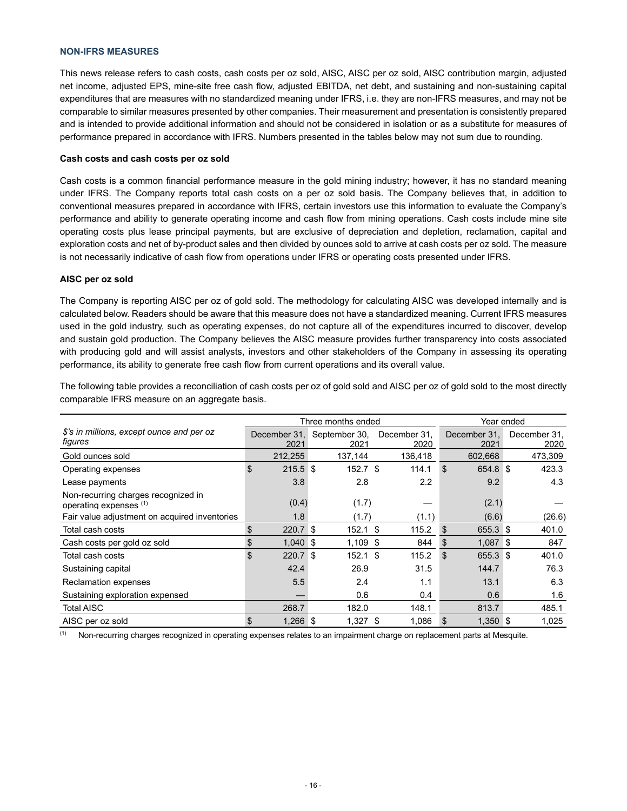#### **NON-IFRS MEASURES**

This news release refers to cash costs, cash costs per oz sold, AISC, AISC per oz sold, AISC contribution margin, adjusted net income, adjusted EPS, mine-site free cash flow, adjusted EBITDA, net debt, and sustaining and non-sustaining capital expenditures that are measures with no standardized meaning under IFRS, i.e. they are non-IFRS measures, and may not be comparable to similar measures presented by other companies. Their measurement and presentation is consistently prepared and is intended to provide additional information and should not be considered in isolation or as a substitute for measures of performance prepared in accordance with IFRS. Numbers presented in the tables below may not sum due to rounding.

#### **Cash costs and cash costs per oz sold**

Cash costs is a common financial performance measure in the gold mining industry; however, it has no standard meaning under IFRS. The Company reports total cash costs on a per oz sold basis. The Company believes that, in addition to conventional measures prepared in accordance with IFRS, certain investors use this information to evaluate the Company's performance and ability to generate operating income and cash flow from mining operations. Cash costs include mine site operating costs plus lease principal payments, but are exclusive of depreciation and depletion, reclamation, capital and exploration costs and net of by-product sales and then divided by ounces sold to arrive at cash costs per oz sold. The measure is not necessarily indicative of cash flow from operations under IFRS or operating costs presented under IFRS.

#### **AISC per oz sold**

The Company is reporting AISC per oz of gold sold. The methodology for calculating AISC was developed internally and is calculated below. Readers should be aware that this measure does not have a standardized meaning. Current IFRS measures used in the gold industry, such as operating expenses, do not capture all of the expenditures incurred to discover, develop and sustain gold production. The Company believes the AISC measure provides further transparency into costs associated with producing gold and will assist analysts, investors and other stakeholders of the Company in assessing its operating performance, its ability to generate free cash flow from current operations and its overall value.

|                                                               |                      | Three months ended    | Year ended           |                      |                      |  |
|---------------------------------------------------------------|----------------------|-----------------------|----------------------|----------------------|----------------------|--|
| \$'s in millions, except ounce and per oz<br>figures          | December 31.<br>2021 | September 30,<br>2021 | December 31.<br>2020 | December 31.<br>2021 | December 31,<br>2020 |  |
| Gold ounces sold                                              | 212,255              | 137,144               | 136,418              | 602,668              | 473,309              |  |
| Operating expenses                                            | \$<br>$215.5$ \$     | $152.7$ \$            | 114.1                | 654.8 \$<br>\$       | 423.3                |  |
| Lease payments                                                | 3.8                  | 2.8                   | 2.2                  | 9.2                  | 4.3                  |  |
| Non-recurring charges recognized in<br>operating expenses (1) | (0.4)                | (1.7)                 |                      | (2.1)                |                      |  |
| Fair value adjustment on acquired inventories                 | 1.8                  | (1.7)                 | (1.1)                | (6.6)                | (26.6)               |  |
| Total cash costs                                              | \$<br>220.7          | 152.1<br>∣\$          | \$<br>115.2          | 655.3 \$<br>\$       | 401.0                |  |
| Cash costs per gold oz sold                                   | \$<br>$1,040$ \$     | $1,109$ \$            | 844                  | 1,087 \$<br>\$       | 847                  |  |
| Total cash costs                                              | \$<br>220.7          | $152.1$ \$<br>-\$     | 115.2                | \$<br>655.3 \$       | 401.0                |  |
| Sustaining capital                                            | 42.4                 | 26.9                  | 31.5                 | 144.7                | 76.3                 |  |
| <b>Reclamation expenses</b>                                   | 5.5                  | 2.4                   | 1.1                  | 13.1                 | 6.3                  |  |
| Sustaining exploration expensed                               |                      | 0.6                   | 0.4                  | 0.6                  | 1.6                  |  |
| <b>Total AISC</b>                                             | 268.7                | 182.0                 | 148.1                | 813.7                | 485.1                |  |
| AISC per oz sold                                              | $1,266$ \$<br>\$     | $1,327$ \$            | 1,086                | $1,350$ \$<br>\$     | 1,025                |  |

The following table provides a reconciliation of cash costs per oz of gold sold and AISC per oz of gold sold to the most directly comparable IFRS measure on an aggregate basis.

(1) Non-recurring charges recognized in operating expenses relates to an impairment charge on replacement parts at Mesquite.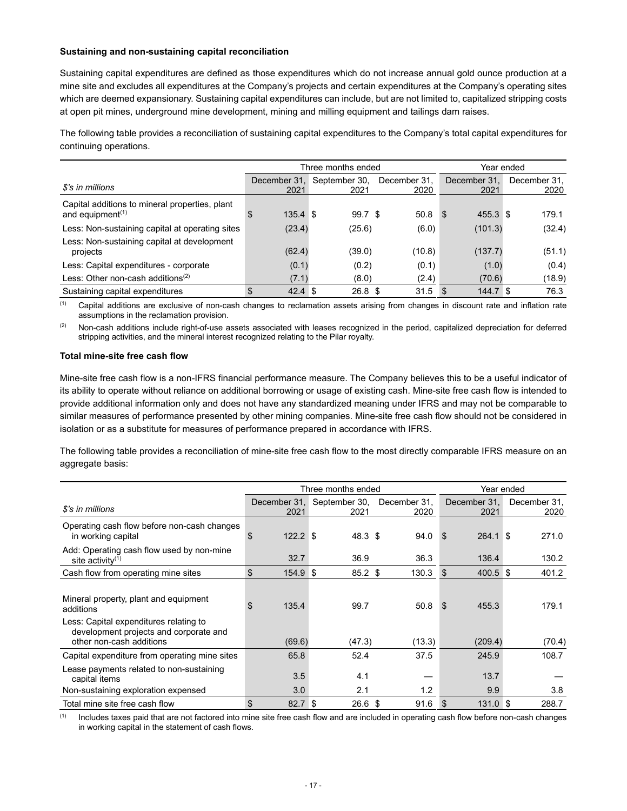#### **Sustaining and non-sustaining capital reconciliation**

Sustaining capital expenditures are defined as those expenditures which do not increase annual gold ounce production at a mine site and excludes all expenditures at the Company's projects and certain expenditures at the Company's operating sites which are deemed expansionary. Sustaining capital expenditures can include, but are not limited to, capitalized stripping costs at open pit mines, underground mine development, mining and milling equipment and tailings dam raises.

The following table provides a reconciliation of sustaining capital expenditures to the Company's total capital expenditures for continuing operations.

|                                                                                             |                         | Three months ended    | Year ended           |                      |                      |
|---------------------------------------------------------------------------------------------|-------------------------|-----------------------|----------------------|----------------------|----------------------|
| \$'s in millions                                                                            | December 31.<br>2021    | September 30,<br>2021 | December 31.<br>2020 | December 31.<br>2021 | December 31.<br>2020 |
| Capital additions to mineral properties, plant<br>and equipment <sup><math>(1)</math></sup> | $135.4$ \$<br>\$        | 99.7 <sup>°</sup>     | 50.8                 | 455.3 \$<br>- \$     | 179.1                |
| Less: Non-sustaining capital at operating sites                                             | (23.4)                  | (25.6)                | (6.0)                | (101.3)              | (32.4)               |
| Less: Non-sustaining capital at development<br>projects                                     | (62.4)                  | (39.0)                | (10.8)               | (137.7)              | (51.1)               |
| Less: Capital expenditures - corporate                                                      | (0.1)                   | (0.2)                 | (0.1)                | (1.0)                | (0.4)                |
| Less: Other non-cash additions <sup>(2)</sup>                                               | (7.1)                   | (8.0)                 | (2.4)                | (70.6)               | (18.9)               |
| Sustaining capital expenditures                                                             | \$<br>$42.4 \text{ } $$ | 26.8 <sup>°</sup>     | 31.5                 | 144.7 <sup>°</sup>   | 76.3                 |

(1) Capital additions are exclusive of non-cash changes to reclamation assets arising from changes in discount rate and inflation rate assumptions in the reclamation provision.

(2) Non-cash additions include right-of-use assets associated with leases recognized in the period, capitalized depreciation for deferred stripping activities, and the mineral interest recognized relating to the Pilar royalty.

### **Total mine-site free cash flow**

Mine-site free cash flow is a non-IFRS financial performance measure. The Company believes this to be a useful indicator of its ability to operate without reliance on additional borrowing or usage of existing cash. Mine-site free cash flow is intended to provide additional information only and does not have any standardized meaning under IFRS and may not be comparable to similar measures of performance presented by other mining companies. Mine-site free cash flow should not be considered in isolation or as a substitute for measures of performance prepared in accordance with IFRS.

The following table provides a reconciliation of mine-site free cash flow to the most directly comparable IFRS measure on an aggregate basis:

|                                                                                                                                        |                  | Three months ended                 | Year ended           |                             |                      |
|----------------------------------------------------------------------------------------------------------------------------------------|------------------|------------------------------------|----------------------|-----------------------------|----------------------|
| \$'s in millions                                                                                                                       | 2021             | December 31, September 30,<br>2021 | December 31,<br>2020 | December 31.<br>2021        | December 31,<br>2020 |
| Operating cash flow before non-cash changes<br>in working capital                                                                      | $122.2$ \$<br>\$ | 48.3 <sup>5</sup>                  | 94.0                 | 264.1<br>- \$               | 271.0<br>- \$        |
| Add: Operating cash flow used by non-mine<br>site activity $(1)$                                                                       | 32.7             | 36.9                               | 36.3                 | 136.4                       | 130.2                |
| Cash flow from operating mine sites                                                                                                    | \$<br>154.9      | $85.2$ \$<br>ا \$                  | 130.3                | $400.5$ \$<br>$\mathbf{\$}$ | 401.2                |
| Mineral property, plant and equipment<br>additions<br>Less: Capital expenditures relating to<br>development projects and corporate and | \$<br>135.4      | 99.7                               | 50.8                 | 455.3<br><b>S</b>           | 179.1                |
| other non-cash additions                                                                                                               | (69.6)           | (47.3)                             | (13.3)               | (209.4)                     | (70.4)               |
| Capital expenditure from operating mine sites                                                                                          | 65.8             | 52.4                               | 37.5                 | 245.9                       | 108.7                |
| Lease payments related to non-sustaining<br>capital items                                                                              | 3.5              | 4.1                                |                      | 13.7                        |                      |
| Non-sustaining exploration expensed                                                                                                    | 3.0              | 2.1                                | 1.2                  | 9.9                         | 3.8                  |
| Total mine site free cash flow                                                                                                         | \$<br>82.7       | -\$<br>26.6 \$                     | 91.6                 | $131.0$ \$<br>\$            | 288.7                |

(1) Includes taxes paid that are not factored into mine site free cash flow and are included in operating cash flow before non-cash changes in working capital in the statement of cash flows.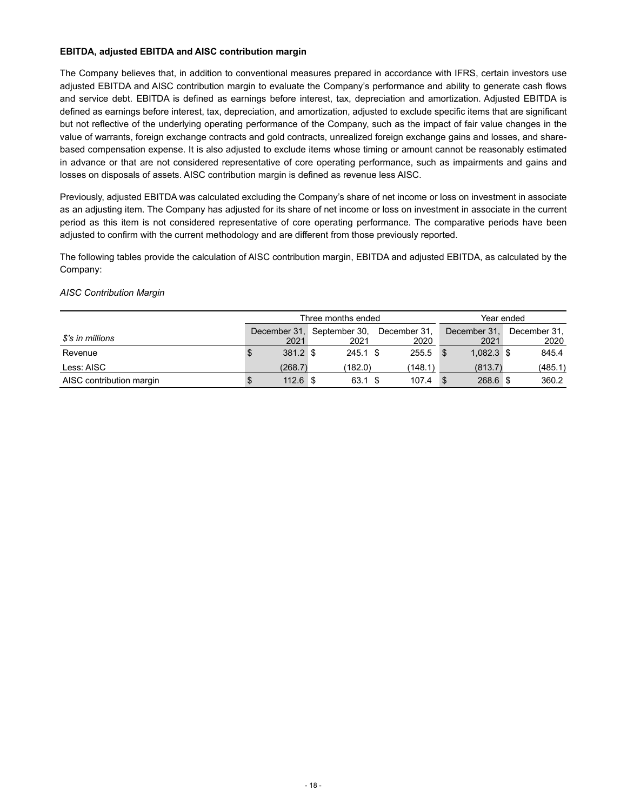# **EBITDA, adjusted EBITDA and AISC contribution margin**

The Company believes that, in addition to conventional measures prepared in accordance with IFRS, certain investors use adjusted EBITDA and AISC contribution margin to evaluate the Company's performance and ability to generate cash flows and service debt. EBITDA is defined as earnings before interest, tax, depreciation and amortization. Adjusted EBITDA is defined as earnings before interest, tax, depreciation, and amortization, adjusted to exclude specific items that are significant but not reflective of the underlying operating performance of the Company, such as the impact of fair value changes in the value of warrants, foreign exchange contracts and gold contracts, unrealized foreign exchange gains and losses, and sharebased compensation expense. It is also adjusted to exclude items whose timing or amount cannot be reasonably estimated in advance or that are not considered representative of core operating performance, such as impairments and gains and losses on disposals of assets. AISC contribution margin is defined as revenue less AISC.

Previously, adjusted EBITDA was calculated excluding the Company's share of net income or loss on investment in associate as an adjusting item. The Company has adjusted for its share of net income or loss on investment in associate in the current period as this item is not considered representative of core operating performance. The comparative periods have been adjusted to confirm with the current methodology and are different from those previously reported.

The following tables provide the calculation of AISC contribution margin, EBITDA and adjusted EBITDA, as calculated by the Company:

# *AISC Contribution Margin*

|                          | Three months ended |            |            |  | Year ended                              |  |              |  |              |
|--------------------------|--------------------|------------|------------|--|-----------------------------------------|--|--------------|--|--------------|
|                          |                    |            |            |  | December 31, September 30, December 31, |  | December 31, |  | December 31. |
| \$'s in millions         |                    | 2021       | 2021       |  | 2020                                    |  | 2021         |  | 2020         |
| Revenue                  | S                  | 381.2 \$   | $245.1$ \$ |  | 255.5                                   |  | $1.082.3$ \$ |  | 845.4        |
| Less: AISC               |                    | (268.7)    | (182.0)    |  | (148.1)                                 |  | (813.7)      |  | (485.1)      |
| AISC contribution margin |                    | $112.6$ \$ | 63.1 \$    |  | 107.4                                   |  | 268.6 \$     |  | 360.2        |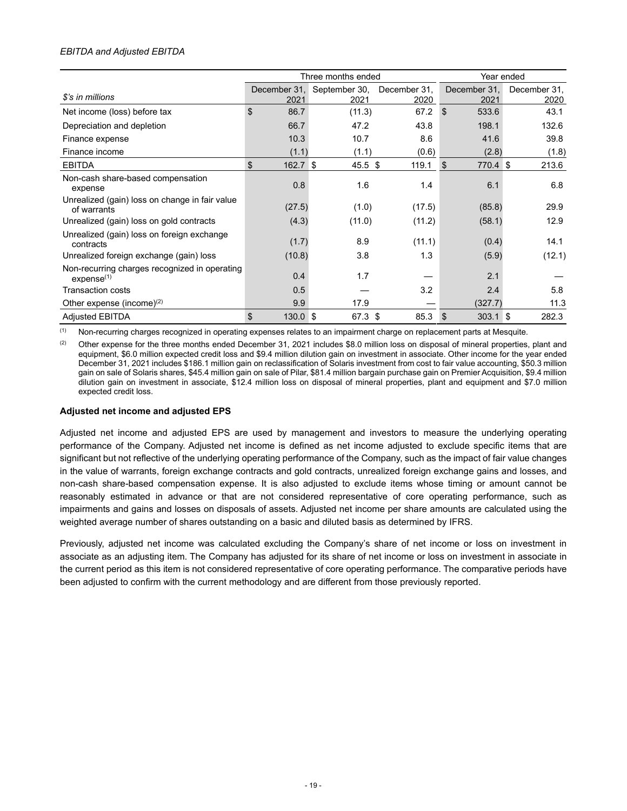# *EBITDA and Adjusted EBITDA*

|                                                                         |                  | Three months ended                 | Year ended           |                        |                      |
|-------------------------------------------------------------------------|------------------|------------------------------------|----------------------|------------------------|----------------------|
| \$'s in millions                                                        | 2021             | December 31, September 30,<br>2021 | December 31,<br>2020 | December 31,<br>2021   | December 31,<br>2020 |
| Net income (loss) before tax                                            | \$<br>86.7       | (11.3)                             | 67.2                 | 533.6<br>$\mathbf{\$}$ | 43.1                 |
| Depreciation and depletion                                              | 66.7             | 47.2                               | 43.8                 | 198.1                  | 132.6                |
| Finance expense                                                         | 10.3             | 10.7                               | 8.6                  | 41.6                   | 39.8                 |
| Finance income                                                          | (1.1)            | (1.1)                              | (0.6)                | (2.8)                  | (1.8)                |
| <b>EBITDA</b>                                                           | \$<br>$162.7$ \$ | $45.5 \text{ } $$                  | 119.1                | 770.4 \$<br>\$         | 213.6                |
| Non-cash share-based compensation<br>expense                            | 0.8              | 1.6                                | 1.4                  | 6.1                    | 6.8                  |
| Unrealized (gain) loss on change in fair value<br>of warrants           | (27.5)           | (1.0)                              | (17.5)               | (85.8)                 | 29.9                 |
| Unrealized (gain) loss on gold contracts                                | (4.3)            | (11.0)                             | (11.2)               | (58.1)                 | 12.9                 |
| Unrealized (gain) loss on foreign exchange<br>contracts                 | (1.7)            | 8.9                                | (11.1)               | (0.4)                  | 14.1                 |
| Unrealized foreign exchange (gain) loss                                 | (10.8)           | 3.8                                | 1.3                  | (5.9)                  | (12.1)               |
| Non-recurring charges recognized in operating<br>expense <sup>(1)</sup> | 0.4              | 1.7                                |                      | 2.1                    |                      |
| Transaction costs                                                       | 0.5              |                                    | 3.2                  | 2.4                    | 5.8                  |
| Other expense (income) $(2)$                                            | 9.9              | 17.9                               |                      | (327.7)                | 11.3                 |
| <b>Adjusted EBITDA</b>                                                  | \$<br>$130.0$ \$ | 67.3 \$                            | 85.3                 | $303.1$ \$<br><b>S</b> | 282.3                |

(1) Non-recurring charges recognized in operating expenses relates to an impairment charge on replacement parts at Mesquite.

(2) Other expense for the three months ended December 31, 2021 includes \$8.0 million loss on disposal of mineral properties, plant and equipment, \$6.0 million expected credit loss and \$9.4 million dilution gain on investment in associate. Other income for the year ended December 31, 2021 includes \$186.1 million gain on reclassification of Solaris investment from cost to fair value accounting, \$50.3 million gain on sale of Solaris shares, \$45.4 million gain on sale of Pilar, \$81.4 million bargain purchase gain on Premier Acquisition, \$9.4 million dilution gain on investment in associate, \$12.4 million loss on disposal of mineral properties, plant and equipment and \$7.0 million expected credit loss.

#### **Adjusted net income and adjusted EPS**

Adjusted net income and adjusted EPS are used by management and investors to measure the underlying operating performance of the Company. Adjusted net income is defined as net income adjusted to exclude specific items that are significant but not reflective of the underlying operating performance of the Company, such as the impact of fair value changes in the value of warrants, foreign exchange contracts and gold contracts, unrealized foreign exchange gains and losses, and non-cash share-based compensation expense. It is also adjusted to exclude items whose timing or amount cannot be reasonably estimated in advance or that are not considered representative of core operating performance, such as impairments and gains and losses on disposals of assets. Adjusted net income per share amounts are calculated using the weighted average number of shares outstanding on a basic and diluted basis as determined by IFRS.

Previously, adjusted net income was calculated excluding the Company's share of net income or loss on investment in associate as an adjusting item. The Company has adjusted for its share of net income or loss on investment in associate in the current period as this item is not considered representative of core operating performance. The comparative periods have been adjusted to confirm with the current methodology and are different from those previously reported.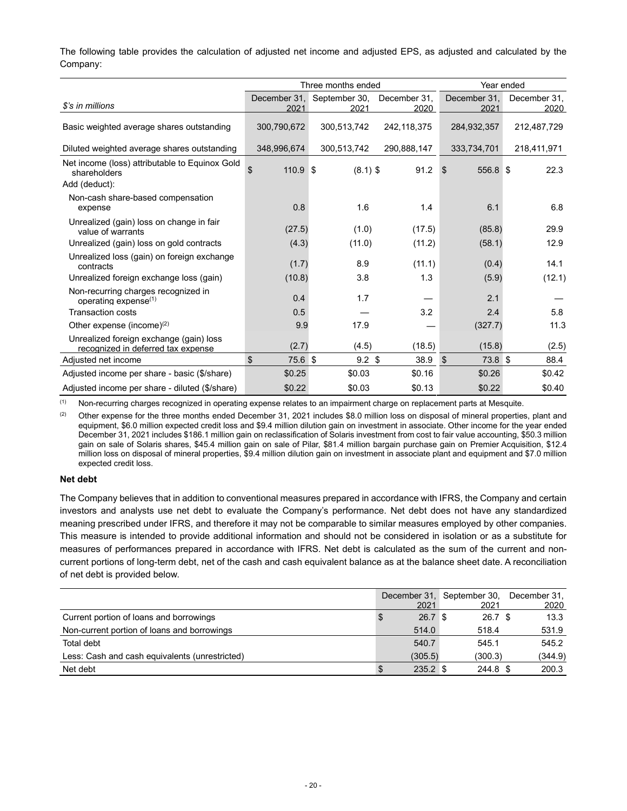The following table provides the calculation of adjusted net income and adjusted EPS, as adjusted and calculated by the Company:

|                                                                               |                  | Three months ended         | Year ended   |                       |              |
|-------------------------------------------------------------------------------|------------------|----------------------------|--------------|-----------------------|--------------|
|                                                                               |                  | December 31, September 30, | December 31, | December 31.          | December 31, |
| \$'s in millions                                                              | 2021             | 2021                       | 2020         | 2021                  | 2020         |
| Basic weighted average shares outstanding                                     | 300,790,672      | 300,513,742                | 242,118,375  | 284,932,357           | 212,487,729  |
| Diluted weighted average shares outstanding                                   | 348,996,674      | 300,513,742                | 290,888,147  | 333,734,701           | 218,411,971  |
| Net income (loss) attributable to Equinox Gold<br>shareholders                | \$<br>$110.9$ \$ | $(8.1)$ \$                 | 91.2         | 556.8 \$<br>-\$       | 22.3         |
| Add (deduct):                                                                 |                  |                            |              |                       |              |
| Non-cash share-based compensation<br>expense                                  | 0.8              | 1.6                        | 1.4          | 6.1                   | 6.8          |
| Unrealized (gain) loss on change in fair<br>value of warrants                 | (27.5)           | (1.0)                      | (17.5)       | (85.8)                | 29.9         |
| Unrealized (gain) loss on gold contracts                                      | (4.3)            | (11.0)                     | (11.2)       | (58.1)                | 12.9         |
| Unrealized loss (gain) on foreign exchange<br>contracts                       | (1.7)            | 8.9                        | (11.1)       | (0.4)                 | 14.1         |
| Unrealized foreign exchange loss (gain)                                       | (10.8)           | 3.8                        | 1.3          | (5.9)                 | (12.1)       |
| Non-recurring charges recognized in<br>operating expense $(1)$                | 0.4              | 1.7                        |              | 2.1                   |              |
| <b>Transaction costs</b>                                                      | 0.5              |                            | 3.2          | 2.4                   | 5.8          |
| Other expense (income) $(2)$                                                  | 9.9              | 17.9                       |              | (327.7)               | 11.3         |
| Unrealized foreign exchange (gain) loss<br>recognized in deferred tax expense | (2.7)            | (4.5)                      | (18.5)       | (15.8)                | (2.5)        |
| Adjusted net income                                                           | \$<br>75.6 \$    | 9.2 <sup>5</sup>           | 38.9         | 73.8 \$<br>$\sqrt{3}$ | 88.4         |
| Adjusted income per share - basic (\$/share)                                  | \$0.25           | \$0.03                     | \$0.16       | \$0.26                | \$0.42       |
| Adjusted income per share - diluted (\$/share)                                | \$0.22           | \$0.03                     | \$0.13       | \$0.22                | \$0.40       |

(1) Non-recurring charges recognized in operating expense relates to an impairment charge on replacement parts at Mesquite.

(2) Other expense for the three months ended December 31, 2021 includes \$8.0 million loss on disposal of mineral properties, plant and equipment, \$6.0 million expected credit loss and \$9.4 million dilution gain on investment in associate. Other income for the year ended December 31, 2021 includes \$186.1 million gain on reclassification of Solaris investment from cost to fair value accounting, \$50.3 million gain on sale of Solaris shares, \$45.4 million gain on sale of Pilar, \$81.4 million bargain purchase gain on Premier Acquisition, \$12.4 million loss on disposal of mineral properties, \$9.4 million dilution gain on investment in associate plant and equipment and \$7.0 million expected credit loss.

### **Net debt**

The Company believes that in addition to conventional measures prepared in accordance with IFRS, the Company and certain investors and analysts use net debt to evaluate the Company's performance. Net debt does not have any standardized meaning prescribed under IFRS, and therefore it may not be comparable to similar measures employed by other companies. This measure is intended to provide additional information and should not be considered in isolation or as a substitute for measures of performances prepared in accordance with IFRS. Net debt is calculated as the sum of the current and noncurrent portions of long-term debt, net of the cash and cash equivalent balance as at the balance sheet date. A reconciliation of net debt is provided below.

|                                                |                   | December 31, September 30, | December 31. |
|------------------------------------------------|-------------------|----------------------------|--------------|
|                                                | 2021              | 2021                       | 2020         |
| Current portion of loans and borrowings        | 26.7 <sup>°</sup> | 26.7 <sup>°</sup>          | 13.3         |
| Non-current portion of loans and borrowings    | 514.0             | 518.4                      | 531.9        |
| Total debt                                     | 540.7             | 545.1                      | 545.2        |
| Less: Cash and cash equivalents (unrestricted) | (305.5)           | (300.3)                    | (344.9)      |
| Net debt                                       | $235.2$ \$        | 244.8 \$                   | 200.3        |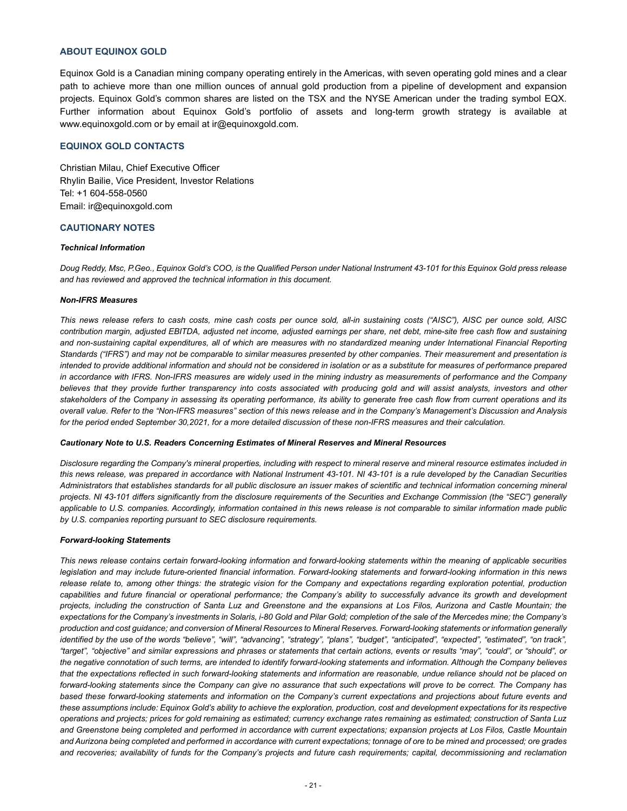#### **ABOUT EQUINOX GOLD**

Equinox Gold is a Canadian mining company operating entirely in the Americas, with seven operating gold mines and a clear path to achieve more than one million ounces of annual gold production from a pipeline of development and expansion projects. Equinox Gold's common shares are listed on the TSX and the NYSE American under the trading symbol EQX. Further information about Equinox Gold's portfolio of assets and long-term growth strategy is available at www.equinoxgold.com or by email at ir@equinoxgold.com.

## **EQUINOX GOLD CONTACTS**

Christian Milau, Chief Executive Officer Rhylin Bailie, Vice President, Investor Relations Tel: +1 604-558-0560 Email: ir@equinoxgold.com

### **CAUTIONARY NOTES**

#### *Technical Information*

*Doug Reddy, Msc, P.Geo., Equinox Gold's COO, is the Qualified Person under National Instrument 43-101 for this Equinox Gold press release and has reviewed and approved the technical information in this document.*

#### *Non-IFRS Measures*

*This news release refers to cash costs, mine cash costs per ounce sold, all-in sustaining costs ("AISC"), AISC per ounce sold, AISC contribution margin, adjusted EBITDA, adjusted net income, adjusted earnings per share, net debt, mine-site free cash flow and sustaining and non-sustaining capital expenditures, all of which are measures with no standardized meaning under International Financial Reporting Standards ("IFRS") and may not be comparable to similar measures presented by other companies. Their measurement and presentation is intended to provide additional information and should not be considered in isolation or as a substitute for measures of performance prepared in accordance with IFRS. Non-IFRS measures are widely used in the mining industry as measurements of performance and the Company believes that they provide further transparency into costs associated with producing gold and will assist analysts, investors and other stakeholders of the Company in assessing its operating performance, its ability to generate free cash flow from current operations and its overall value. Refer to the "Non-IFRS measures" section of this news release and in the Company's Management's Discussion and Analysis for the period ended September 30,2021, for a more detailed discussion of these non-IFRS measures and their calculation.*

#### *Cautionary Note to U.S. Readers Concerning Estimates of Mineral Reserves and Mineral Resources*

*Disclosure regarding the Company's mineral properties, including with respect to mineral reserve and mineral resource estimates included in this news release, was prepared in accordance with National Instrument 43-101. NI 43-101 is a rule developed by the Canadian Securities Administrators that establishes standards for all public disclosure an issuer makes of scientific and technical information concerning mineral projects. NI 43-101 differs significantly from the disclosure requirements of the Securities and Exchange Commission (the "SEC") generally applicable to U.S. companies. Accordingly, information contained in this news release is not comparable to similar information made public by U.S. companies reporting pursuant to SEC disclosure requirements.*

#### *Forward-looking Statements*

*This news release contains certain forward-looking information and forward-looking statements within the meaning of applicable securities legislation and may include future-oriented financial information. Forward-looking statements and forward-looking information in this news release relate to, among other things: the strategic vision for the Company and expectations regarding exploration potential, production capabilities and future financial or operational performance; the Company's ability to successfully advance its growth and development projects, including the construction of Santa Luz and Greenstone and the expansions at Los Filos, Aurizona and Castle Mountain; the*  expectations for the Company's investments in Solaris, i-80 Gold and Pilar Gold; completion of the sale of the Mercedes mine; the Company's *production and cost guidance; and conversion of Mineral Resources to Mineral Reserves. Forward-looking statements or information generally identified by the use of the words "believe", "will", "advancing", "strategy", "plans", "budget", "anticipated", "expected", "estimated", "on track", "target", "objective" and similar expressions and phrases or statements that certain actions, events or results "may", "could", or "should", or the negative connotation of such terms, are intended to identify forward-looking statements and information. Although the Company believes that the expectations reflected in such forward-looking statements and information are reasonable, undue reliance should not be placed on forward-looking statements since the Company can give no assurance that such expectations will prove to be correct. The Company has based these forward-looking statements and information on the Company's current expectations and projections about future events and these assumptions include: Equinox Gold's ability to achieve the exploration, production, cost and development expectations for its respective operations and projects; prices for gold remaining as estimated; currency exchange rates remaining as estimated; construction of Santa Luz and Greenstone being completed and performed in accordance with current expectations; expansion projects at Los Filos, Castle Mountain and Aurizona being completed and performed in accordance with current expectations; tonnage of ore to be mined and processed; ore grades and recoveries; availability of funds for the Company's projects and future cash requirements; capital, decommissioning and reclamation*